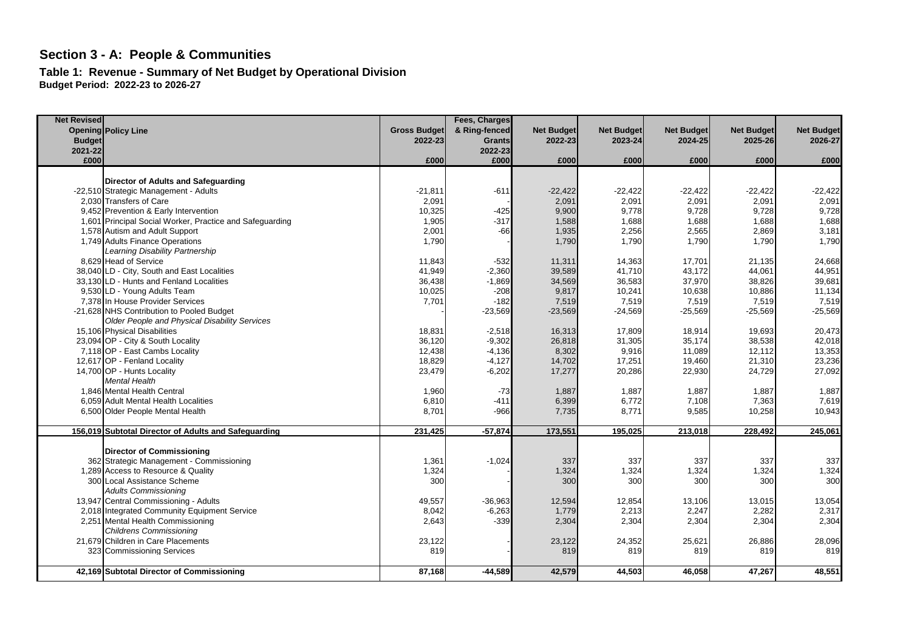**Table 1: Revenue - Summary of Net Budget by Operational Division Budget Period: 2022-23 to 2026-27**

| <b>Net Revised</b> |                                                          |                     | Fees, Charges |                   |                   |                   |                   |                   |
|--------------------|----------------------------------------------------------|---------------------|---------------|-------------------|-------------------|-------------------|-------------------|-------------------|
|                    | <b>Opening Policy Line</b>                               | <b>Gross Budget</b> | & Ring-fenced | <b>Net Budget</b> | <b>Net Budget</b> | <b>Net Budget</b> | <b>Net Budget</b> | <b>Net Budget</b> |
| <b>Budget</b>      |                                                          | 2022-23             | <b>Grants</b> | 2022-23           | 2023-24           | 2024-25           | 2025-26           | 2026-27           |
| 2021-22            |                                                          |                     | 2022-23       |                   |                   |                   |                   |                   |
| £000               |                                                          | £000                | £000          | £000              | £000              | £000              | £000              | £000              |
|                    |                                                          |                     |               |                   |                   |                   |                   |                   |
|                    | Director of Adults and Safeguarding                      |                     |               |                   |                   |                   |                   |                   |
|                    | -22,510 Strategic Management - Adults                    | $-21,811$           | $-611$        | $-22,422$         | $-22,422$         | $-22,422$         | $-22,422$         | $-22,422$         |
|                    | 2.030 Transfers of Care                                  | 2,091               |               | 2,091             | 2,091             | 2,091             | 2,091             | 2,091             |
|                    | 9.452 Prevention & Early Intervention                    | 10,325              | $-425$        | 9,900             | 9,778             | 9,728             | 9,728             | 9,728             |
|                    | 1,601 Principal Social Worker, Practice and Safeguarding | 1,905               | $-317$        | 1,588             | 1,688             | 1,688             | 1,688             | 1,688             |
|                    | 1,578 Autism and Adult Support                           | 2,001               | $-66$         | 1,935             | 2,256             | 2,565             | 2,869             | 3,181             |
|                    | 1,749 Adults Finance Operations                          | 1,790               |               | 1,790             | 1,790             | 1,790             | 1,790             | 1,790             |
|                    | Learning Disability Partnership                          |                     |               |                   |                   |                   |                   |                   |
|                    | 8,629 Head of Service                                    | 11,843              | $-532$        | 11,311            | 14,363            | 17,701            | 21,135            | 24,668            |
|                    | 38,040 LD - City, South and East Localities              | 41,949              | $-2,360$      | 39,589            | 41,710            | 43,172            | 44,061            | 44,951            |
|                    | 33,130 LD - Hunts and Fenland Localities                 | 36,438              | $-1,869$      | 34,569            | 36,583            | 37,970            | 38,826            | 39,681            |
|                    | 9,530 LD - Young Adults Team                             | 10,025              | $-208$        | 9,817             | 10,241            | 10,638            | 10,886            | 11,134            |
|                    | 7,378 In House Provider Services                         | 7,701               | $-182$        | 7,519             | 7,519             | 7,519             | 7,519             | 7,519             |
|                    | -21,628 NHS Contribution to Pooled Budget                |                     | $-23,569$     | $-23,569$         | $-24,569$         | $-25,569$         | $-25,569$         | $-25,569$         |
|                    | Older People and Physical Disability Services            |                     |               |                   |                   |                   |                   |                   |
|                    | 15,106 Physical Disabilities                             | 18,831              | $-2,518$      | 16,313            | 17,809            | 18,914            | 19,693            | 20,473            |
|                    | 23,094 OP - City & South Locality                        | 36,120              | $-9,302$      | 26,818            | 31,305            | 35,174            | 38,538            | 42,018            |
|                    | 7,118 OP - East Cambs Locality                           | 12,438              | $-4,136$      | 8,302             | 9,916             | 11,089            | 12,112            | 13,353            |
|                    | 12,617 OP - Fenland Locality                             | 18,829              | $-4,127$      | 14,702            | 17,251            | 19,460            | 21,310            | 23,236            |
|                    | 14,700 OP - Hunts Locality                               | 23,479              | $-6,202$      | 17,277            | 20,286            | 22,930            | 24,729            | 27,092            |
|                    | <b>Mental Health</b>                                     |                     |               |                   |                   |                   |                   |                   |
|                    | 1.846 Mental Health Central                              | 1,960               | $-73$         | 1,887             | 1,887             | 1,887             | 1,887             | 1,887             |
|                    | 6.059 Adult Mental Health Localities                     | 6,810               | $-411$        | 6,399             | 6,772             | 7,108             | 7,363             | 7,619             |
|                    | 6,500 Older People Mental Health                         | 8,701               | $-966$        | 7,735             | 8,771             | 9,585             | 10,258            | 10,943            |
|                    |                                                          |                     |               |                   |                   |                   |                   |                   |
|                    | 156,019 Subtotal Director of Adults and Safeguarding     | 231,425             | $-57,874$     | 173,551           | 195,025           | 213,018           | 228,492           | 245,061           |
|                    | <b>Director of Commissioning</b>                         |                     |               |                   |                   |                   |                   |                   |
|                    | 362 Strategic Management - Commissioning                 | 1,361               | $-1,024$      | 337               | 337               | 337               | 337               | 337               |
|                    | 1,289 Access to Resource & Quality                       | 1,324               |               | 1,324             | 1,324             | 1,324             | 1,324             | 1,324             |
|                    | 300 Local Assistance Scheme                              | 300                 |               | 300               | 300               | 300               | 300               | 300               |
|                    | <b>Adults Commissioning</b>                              |                     |               |                   |                   |                   |                   |                   |
|                    | 13,947 Central Commissioning - Adults                    | 49,557              | $-36,963$     | 12,594            | 12,854            | 13,106            | 13,015            | 13,054            |
|                    | 2,018 Integrated Community Equipment Service             | 8,042               | $-6,263$      | 1,779             | 2,213             | 2,247             | 2,282             | 2,317             |
|                    | 2,251 Mental Health Commissioning                        | 2,643               | $-339$        | 2,304             | 2,304             | 2,304             | 2,304             | 2,304             |
|                    | <b>Childrens Commissioning</b>                           |                     |               |                   |                   |                   |                   |                   |
|                    | 21,679 Children in Care Placements                       | 23,122              |               | 23,122            | 24,352            | 25,621            | 26,886            | 28,096            |
|                    | 323 Commissioning Services                               | 819                 |               | 819               | 819               | 819               | 819               | 819               |
|                    |                                                          |                     |               |                   |                   |                   |                   |                   |
|                    | 42,169 Subtotal Director of Commissioning                | 87,168              | $-44,589$     | 42,579            | 44,503            | 46,058            | 47,267            | 48,551            |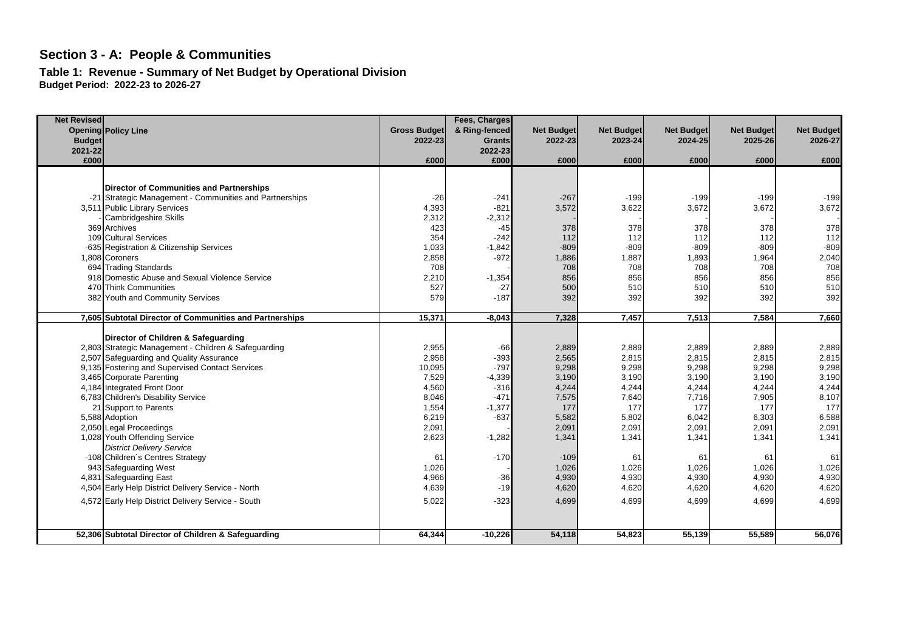**Table 1: Revenue - Summary of Net Budget by Operational Division Budget Period: 2022-23 to 2026-27**

| <b>Net Revised</b> |                                                         |                     | Fees, Charges |                   |                   |                   |                   |                   |
|--------------------|---------------------------------------------------------|---------------------|---------------|-------------------|-------------------|-------------------|-------------------|-------------------|
|                    | <b>Opening Policy Line</b>                              | <b>Gross Budget</b> | & Ring-fenced | <b>Net Budget</b> | <b>Net Budget</b> | <b>Net Budget</b> | <b>Net Budget</b> | <b>Net Budget</b> |
| <b>Budget</b>      |                                                         | 2022-23             | Grants        | 2022-23           | 2023-24           | 2024-25           | 2025-26           | 2026-27           |
| 2021-22            |                                                         |                     | 2022-23       |                   |                   |                   |                   |                   |
| £000               |                                                         | £000                | £000          | £000              | £000              | £000              | £000              | £000              |
|                    |                                                         |                     |               |                   |                   |                   |                   |                   |
|                    | <b>Director of Communities and Partnerships</b>         |                     |               |                   |                   |                   |                   |                   |
|                    | -21 Strategic Management - Communities and Partnerships | $-26$               | $-241$        | $-267$            | $-199$            | $-199$            | $-199$            | $-199$            |
|                    | 3,511 Public Library Services                           | 4,393               | $-821$        | 3,572             | 3,622             | 3,672             | 3,672             | 3,672             |
|                    | Cambridgeshire Skills                                   | 2,312               | $-2,312$      |                   |                   |                   |                   |                   |
|                    | 369 Archives                                            | 423                 | $-45$         | 378               | 378               | 378               | 378               | 378               |
|                    | 109 Cultural Services                                   | 354                 | $-242$        | 112               | 112               | 112               | 112               | 112               |
|                    | -635 Registration & Citizenship Services                | 1,033               | $-1,842$      | $-809$            | $-809$            | $-809$            | $-809$            | $-809$            |
|                    | 1,808 Coroners                                          | 2,858               | $-972$        | 1,886             | 1,887             | 1,893             | 1,964             | 2,040             |
|                    | 694 Trading Standards                                   | 708                 |               | 708               | 708               | 708               | 708               | 708               |
|                    | 918 Domestic Abuse and Sexual Violence Service          | 2,210               | $-1,354$      | 856               | 856               | 856               | 856               | 856               |
|                    | 470 Think Communities                                   | 527                 | $-27$         | 500               | 510               | 510               | 510               | 510               |
|                    | 382 Youth and Community Services                        | 579                 | $-187$        | 392               | 392               | 392               | 392               | 392               |
|                    |                                                         |                     |               |                   |                   |                   |                   |                   |
|                    | 7,605 Subtotal Director of Communities and Partnerships | 15,371              | $-8,043$      | 7.328             | 7,457             | 7,513             | 7,584             | 7,660             |
|                    |                                                         |                     |               |                   |                   |                   |                   |                   |
|                    | Director of Children & Safequarding                     |                     |               |                   |                   |                   |                   |                   |
|                    | 2,803 Strategic Management - Children & Safeguarding    | 2,955               | $-66$         | 2,889             | 2,889             | 2,889             | 2,889             | 2,889             |
|                    | 2,507 Safeguarding and Quality Assurance                | 2,958               | $-393$        | 2,565             | 2,815             | 2,815             | 2,815             | 2,815             |
|                    | 9,135 Fostering and Supervised Contact Services         | 10,095              | $-797$        | 9,298             | 9,298             | 9,298             | 9,298             | 9,298             |
|                    | 3,465 Corporate Parenting                               | 7,529               | $-4,339$      | 3,190             | 3,190             | 3,190             | 3,190             | 3,190             |
|                    | 4,184 Integrated Front Door                             | 4,560               | $-316$        | 4,244             | 4,244             | 4,244             | 4,244             | 4,244             |
|                    | 6,783 Children's Disability Service                     | 8,046               | $-471$        | 7,575             | 7,640             | 7,716             | 7,905             | 8,107             |
|                    | 21 Support to Parents                                   | 1,554               | $-1,377$      | 177               | 177               | 177               | 177               | 177               |
|                    | 5,588 Adoption                                          | 6,219               | $-637$        | 5,582             | 5,802             | 6,042             | 6,303             | 6,588             |
|                    | 2,050 Legal Proceedings                                 | 2,091               |               | 2,091             | 2,091             | 2,091             | 2,091             | 2,091             |
|                    | 1,028 Youth Offending Service                           | 2,623               | $-1,282$      | 1,341             | 1,341             | 1,341             | 1,341             | 1,341             |
|                    | <b>District Delivery Service</b>                        |                     |               |                   |                   |                   |                   |                   |
|                    | -108 Children's Centres Strategy                        | 61                  | $-170$        | $-109$            | 61                | 61                | 6 <sup>1</sup>    | 61                |
|                    | 943 Safequarding West                                   | 1,026               |               | 1,026             | 1,026             | 1,026             | 1,026             | 1,026             |
|                    | 4,831 Safeguarding East                                 | 4,966               | $-36$         | 4,930             | 4,930             | 4,930             | 4,930             | 4,930             |
|                    | 4,504 Early Help District Delivery Service - North      | 4,639               | $-19$         | 4,620             | 4,620             | 4,620             | 4,620             | 4,620             |
|                    | 4,572 Early Help District Delivery Service - South      | 5,022               | $-323$        | 4,699             | 4,699             | 4,699             | 4,699             | 4,699             |
|                    |                                                         |                     |               |                   |                   |                   |                   |                   |
|                    |                                                         |                     |               |                   |                   |                   |                   |                   |
|                    | 52,306 Subtotal Director of Children & Safeguarding     | 64,344              | $-10,226$     | 54,118            | 54,823            | 55,139            | 55,589            | 56,076            |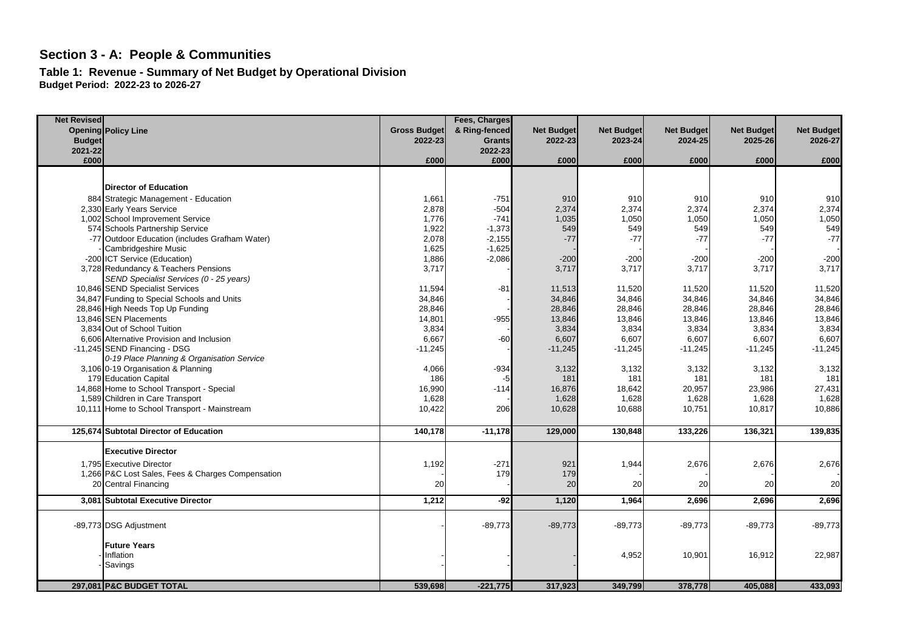**Table 1: Revenue - Summary of Net Budget by Operational Division Budget Period: 2022-23 to 2026-27**

| <b>Net Revised</b> |                                                   |                     | Fees, Charges |                   |                   |                   |                   |                   |
|--------------------|---------------------------------------------------|---------------------|---------------|-------------------|-------------------|-------------------|-------------------|-------------------|
|                    | <b>Opening Policy Line</b>                        | <b>Gross Budget</b> | & Ring-fenced | <b>Net Budget</b> | <b>Net Budget</b> | <b>Net Budget</b> | <b>Net Budget</b> | <b>Net Budget</b> |
| <b>Budget</b>      |                                                   | 2022-23             | <b>Grants</b> | 2022-23           | 2023-24           | 2024-25           | 2025-26           | 2026-27           |
| 2021-22            |                                                   |                     | 2022-23       |                   |                   |                   |                   |                   |
| £000               |                                                   | £000                | £000          | £000              | £000              | £000              | £000              | £000              |
|                    |                                                   |                     |               |                   |                   |                   |                   |                   |
|                    |                                                   |                     |               |                   |                   |                   |                   |                   |
|                    | <b>Director of Education</b>                      |                     |               |                   |                   |                   |                   |                   |
|                    | 884 Strategic Management - Education              | 1,661               | $-751$        | 910               | 910               | 910               | 910               | 910               |
|                    | 2,330 Early Years Service                         | 2,878               | $-504$        | 2,374             | 2,374             | 2,374             | 2,374             | 2,374             |
|                    | 1,002 School Improvement Service                  | 1,776               | $-741$        | 1,035             | 1,050             | 1,050             | 1,050             | 1,050             |
|                    | 574 Schools Partnership Service                   | 1,922               | $-1,373$      | 549               | 549               | 549               | 549               | 549               |
|                    | -77 Outdoor Education (includes Grafham Water)    | 2,078               | $-2,155$      | $-77$             | $-77$             | $-77$             | $-77$             | $-77$             |
|                    | Cambridgeshire Music                              | 1,625               | $-1,625$      |                   |                   |                   |                   |                   |
|                    | -200 ICT Service (Education)                      | 1,886               | $-2,086$      | $-200$            | $-200$            | $-200$            | $-200$            | $-200$            |
|                    | 3,728 Redundancy & Teachers Pensions              | 3,717               |               | 3,717             | 3,717             | 3,717             | 3,717             | 3,717             |
|                    | SEND Specialist Services (0 - 25 years)           |                     |               |                   |                   |                   |                   |                   |
|                    | 10,846 SEND Specialist Services                   | 11,594              | $-81$         | 11,513            | 11,520            | 11,520            | 11,520            | 11,520            |
|                    | 34,847 Funding to Special Schools and Units       | 34,846              |               | 34,846            | 34,846            | 34,846            | 34,846            | 34,846            |
|                    | 28,846 High Needs Top Up Funding                  | 28,846              |               | 28,846            | 28,846            | 28,846            | 28,846            | 28,846            |
|                    | 13,846 SEN Placements                             | 14,801              | $-955$        | 13,846            | 13,846            | 13,846            | 13,846            | 13,846            |
|                    | 3.834 Out of School Tuition                       | 3,834               |               | 3,834             | 3,834             | 3,834             | 3,834             | 3,834             |
|                    | 6,606 Alternative Provision and Inclusion         | 6,667               | $-60$         | 6,607             | 6,607             | 6,607             | 6,607             | 6,607             |
|                    | -11.245 SEND Financing - DSG                      | $-11,245$           |               | $-11,245$         | $-11,245$         | $-11,245$         | $-11,245$         | $-11,245$         |
|                    | 0-19 Place Planning & Organisation Service        |                     |               |                   |                   |                   |                   |                   |
|                    | 3,106 0-19 Organisation & Planning                | 4,066               | $-934$        | 3,132             | 3,132             | 3,132             | 3,132             | 3,132             |
|                    | 179 Education Capital                             | 186                 | -5            | 181               | 181               | 181               | 181               | 181               |
|                    | 14,868 Home to School Transport - Special         | 16,990              | $-114$        | 16,876            | 18,642            | 20,957            | 23,986            | 27,431            |
|                    | 1,589 Children in Care Transport                  | 1,628               |               | 1,628             | 1,628             | 1,628             | 1,628             | 1,628             |
|                    | 10,111 Home to School Transport - Mainstream      | 10,422              | 206           | 10,628            | 10,688            | 10,751            | 10,817            | 10,886            |
|                    |                                                   |                     |               |                   |                   |                   |                   |                   |
|                    | 125,674 Subtotal Director of Education            | 140,178             | $-11,178$     | 129,000           | 130,848           | 133,226           | 136,321           | 139,835           |
|                    | <b>Executive Director</b>                         |                     |               |                   |                   |                   |                   |                   |
|                    | 1,795 Executive Director                          | 1,192               | $-271$        | 921               | 1,944             | 2,676             | 2,676             | 2,676             |
|                    | 1,266 P&C Lost Sales, Fees & Charges Compensation |                     | 179           | 179               |                   |                   |                   |                   |
|                    | 20 Central Financing                              | 20                  |               | 20                | 20                | 20                | 20                | 20                |
|                    | 3.081 Subtotal Executive Director                 |                     | $-92$         |                   |                   |                   |                   |                   |
|                    |                                                   | 1,212               |               | 1,120             | 1,964             | 2,696             | 2,696             | 2,696             |
|                    | -89,773 DSG Adjustment                            |                     | $-89,773$     | $-89,773$         | $-89,773$         | $-89,773$         | $-89,773$         | $-89,773$         |
|                    |                                                   |                     |               |                   |                   |                   |                   |                   |
|                    | <b>Future Years</b>                               |                     |               |                   |                   |                   |                   |                   |
|                    | Inflation                                         |                     |               |                   | 4,952             | 10,901            | 16,912            | 22,987            |
|                    | Savings                                           |                     |               |                   |                   |                   |                   |                   |
|                    | 297,081 P&C BUDGET TOTAL                          | 539,698             | $-221,775$    | 317,923           | 349,799           | 378,778           | 405,088           | 433,093           |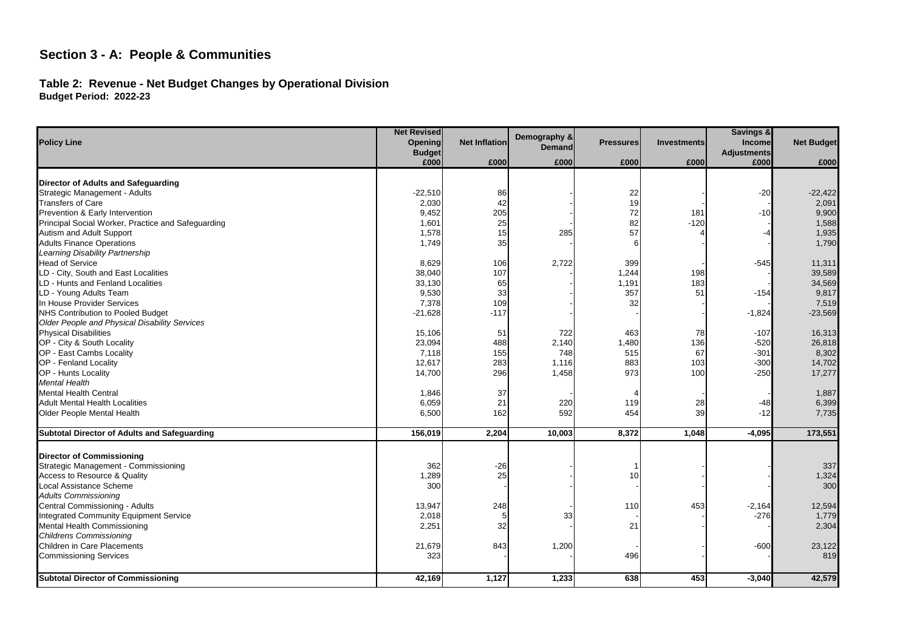#### Table 2: Revenue - Net Budget Changes by Operational Division **Budget Period: 2022-23** Check

|                                                     | <b>Net Revised</b> | Demography &<br><b>Net Inflation</b><br>Opening |        |                  |                    | <b>Savings &amp;</b>                |                   |
|-----------------------------------------------------|--------------------|-------------------------------------------------|--------|------------------|--------------------|-------------------------------------|-------------------|
| <b>Policy Line</b>                                  | <b>Budget</b>      |                                                 | Demand | <b>Pressures</b> | <b>Investments</b> | <b>Income</b><br><b>Adjustments</b> | <b>Net Budget</b> |
|                                                     | £000               | £000                                            | £000   | £000             | £000               | £000                                | £000              |
|                                                     |                    |                                                 |        |                  |                    |                                     |                   |
| Director of Adults and Safequarding                 |                    |                                                 |        |                  |                    |                                     |                   |
| Strategic Management - Adults                       | $-22,510$          | 86                                              |        | 22               |                    | $-20$                               | $-22,422$         |
| <b>Transfers of Care</b>                            | 2,030              | 42                                              |        | 19               |                    |                                     | 2,091             |
| Prevention & Early Intervention                     | 9,452              | 205                                             |        | 72               | 181                | $-10$                               | 9,900             |
| Principal Social Worker, Practice and Safeguarding  | 1,601              | 25                                              |        | 82               | $-120$             |                                     | 1,588             |
| Autism and Adult Support                            | 1,578              | 15                                              | 285    | 57               |                    |                                     | 1,935             |
| <b>Adults Finance Operations</b>                    | 1,749              | 35                                              |        |                  |                    |                                     | 1,790             |
| Learning Disability Partnership                     |                    |                                                 |        |                  |                    |                                     |                   |
| <b>Head of Service</b>                              | 8,629              | 106                                             | 2,722  | 399              |                    | $-545$                              | 11,311            |
| LD - City, South and East Localities                | 38,040             | 107                                             |        | 1,244            | 198                |                                     | 39,589            |
| LD - Hunts and Fenland Localities                   | 33,130             | 65                                              |        | 1,191            | 183                |                                     | 34,569            |
| LD - Young Adults Team                              | 9,530              | 33                                              |        | 357              | 51                 | $-154$                              | 9,817             |
| In House Provider Services                          | 7,378              | 109                                             |        | 32               |                    |                                     | 7,519             |
| NHS Contribution to Pooled Budget                   | $-21,628$          | $-117$                                          |        |                  |                    | $-1,824$                            | $-23,569$         |
| Older People and Physical Disability Services       |                    |                                                 |        |                  |                    |                                     |                   |
| <b>Physical Disabilities</b>                        | 15,106             | 51                                              | 722    | 463              | 78                 | $-107$                              | 16,313            |
| OP - City & South Locality                          | 23,094             | 488                                             | 2,140  | 1,480            | 136                | $-520$                              | 26,818            |
| OP - East Cambs Locality                            | 7,118              | 155                                             | 748    | 515              | 67                 | $-301$                              | 8,302             |
| OP - Fenland Locality                               | 12,617             | 283                                             | 1,116  | 883              | 103                | $-300$                              | 14,702            |
| OP - Hunts Locality                                 | 14,700             | 296                                             | 1,458  | 973              | 100                | $-250$                              | 17,277            |
|                                                     |                    |                                                 |        |                  |                    |                                     |                   |
| <b>Mental Health</b>                                |                    |                                                 |        |                  |                    |                                     |                   |
| <b>Mental Health Central</b>                        | 1,846              | 37                                              |        |                  |                    |                                     | 1,887             |
| <b>Adult Mental Health Localities</b>               | 6,059              | 21                                              | 220    | 119              | 28                 | -48                                 | 6,399             |
| Older People Mental Health                          | 6,500              | 162                                             | 592    | 454              | 39                 | $-12$                               | 7,735             |
| <b>Subtotal Director of Adults and Safeguarding</b> | 156,019            | 2,204                                           | 10,003 | 8,372            | 1,048              | $-4,095$                            | 173,551           |
| <b>Director of Commissioning</b>                    |                    |                                                 |        |                  |                    |                                     |                   |
| Strategic Management - Commissioning                | 362                | $-26$                                           |        |                  |                    |                                     | 337               |
| Access to Resource & Quality                        | 1,289              | 25                                              |        | 10               |                    |                                     | 1,324             |
| Local Assistance Scheme                             | 300                |                                                 |        |                  |                    |                                     | 300               |
| <b>Adults Commissioning</b>                         |                    |                                                 |        |                  |                    |                                     |                   |
| Central Commissioning - Adults                      | 13,947             | 248                                             |        | 110              | 453                | $-2,164$                            | 12,594            |
|                                                     |                    |                                                 |        |                  |                    |                                     |                   |
| <b>Integrated Community Equipment Service</b>       | 2,018              | 5                                               | 33     |                  |                    | $-276$                              | 1,779             |
| <b>Mental Health Commissioning</b>                  | 2,251              | 32                                              |        | 21               |                    |                                     | 2,304             |
| <b>Childrens Commissioning</b>                      |                    |                                                 |        |                  |                    |                                     |                   |
| Children in Care Placements                         | 21,679             | 843                                             | 1,200  |                  |                    | $-600$                              | 23,122            |
| <b>Commissioning Services</b>                       | 323                |                                                 |        | 496              |                    |                                     | 819               |
| <b>Subtotal Director of Commissioning</b>           | 42,169             | 1,127                                           | 1,233  | 638              | 453                | $-3,040$                            | 42,579            |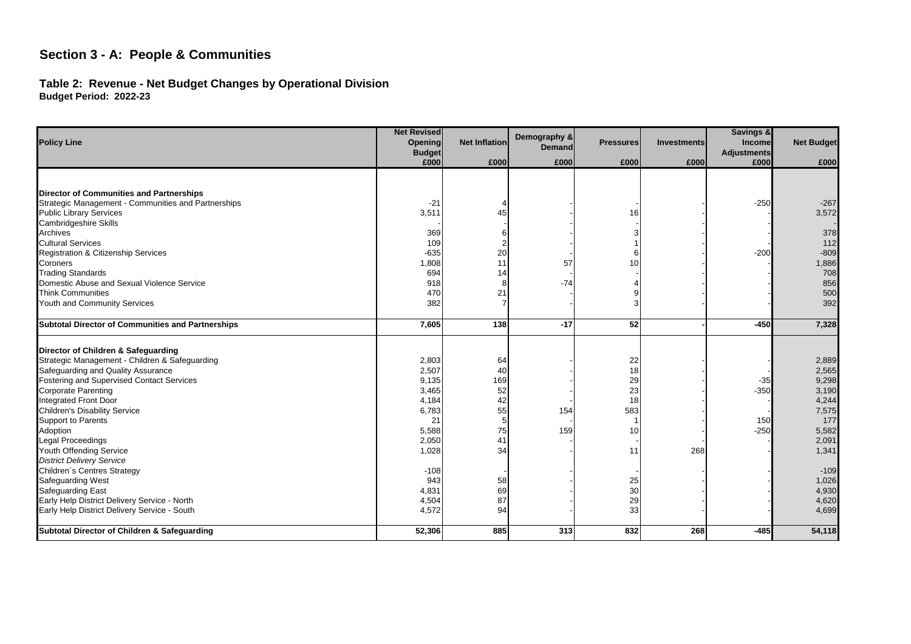#### Table 2: Revenue - Net Budget Changes by Operational Division **Budget Period: 2022-23** Check

|                                                          | <b>Net Revised</b>    |                      |                        |                  |                    | Savings &                  |                   |
|----------------------------------------------------------|-----------------------|----------------------|------------------------|------------------|--------------------|----------------------------|-------------------|
| <b>Policy Line</b>                                       | Opening               | <b>Net Inflation</b> | Demography &<br>Demand | <b>Pressures</b> | <b>Investments</b> | Income                     | <b>Net Budget</b> |
|                                                          | <b>Budget</b><br>£000 | £000                 | £000                   | £000             | £000               | <b>Adjustments</b><br>£000 | £000              |
|                                                          |                       |                      |                        |                  |                    |                            |                   |
| Director of Communities and Partnerships                 |                       |                      |                        |                  |                    |                            |                   |
| Strategic Management - Communities and Partnerships      | $-21$                 |                      |                        |                  |                    | $-250$                     | $-267$            |
| <b>Public Library Services</b>                           | 3,511                 | 45                   |                        | 16               |                    |                            | 3,572             |
| <b>Cambridgeshire Skills</b>                             |                       |                      |                        |                  |                    |                            |                   |
| Archives                                                 | 369                   |                      |                        |                  |                    |                            | 378               |
| <b>Cultural Services</b>                                 | 109                   |                      |                        |                  |                    |                            | 112               |
| Registration & Citizenship Services                      | $-635$                | 20                   |                        | 6                |                    | $-200$                     | $-809$            |
| Coroners                                                 | 1,808                 | 11                   | 57                     | 10               |                    |                            | 1,886             |
| <b>Trading Standards</b>                                 | 694                   | 14                   |                        |                  |                    |                            | 708               |
| Domestic Abuse and Sexual Violence Service               | 918                   |                      | $-74$                  |                  |                    |                            | 856               |
| <b>Think Communities</b>                                 | 470                   | 21                   |                        |                  |                    |                            | 500               |
| Youth and Community Services                             | 382                   |                      |                        | 3                |                    |                            | 392               |
|                                                          |                       |                      |                        |                  |                    |                            |                   |
| <b>Subtotal Director of Communities and Partnerships</b> | 7,605                 | 138                  | $-17$                  | 52               |                    | $-450$                     | 7,328             |
| Director of Children & Safeguarding                      |                       |                      |                        |                  |                    |                            |                   |
| Strategic Management - Children & Safeguarding           | 2,803                 | 64                   |                        |                  |                    |                            |                   |
| Safeguarding and Quality Assurance                       | 2,507                 | 40                   |                        | 22<br>18         |                    |                            | 2,889<br>2,565    |
| Fostering and Supervised Contact Services                | 9,135                 | 169                  |                        | 29               |                    |                            | 9,298             |
| <b>Corporate Parenting</b>                               | 3,465                 | 52                   |                        | 23               |                    | -35<br>$-350$              | 3,190             |
| Integrated Front Door                                    | 4,184                 | 42                   |                        | 18               |                    |                            | 4,244             |
| <b>Children's Disability Service</b>                     | 6,783                 | 55                   | 154                    | 583              |                    |                            | 7,575             |
| Support to Parents                                       | 21                    | 5                    |                        |                  |                    | 150                        | 177               |
| Adoption                                                 | 5,588                 | 75                   | 159                    | 10               |                    | $-250$                     | 5,582             |
| Legal Proceedings                                        | 2,050                 | 41                   |                        |                  |                    |                            | 2,091             |
| Youth Offending Service                                  | 1,028                 | 34                   |                        | 11               | 268                |                            | 1,341             |
| <b>District Delivery Service</b>                         |                       |                      |                        |                  |                    |                            |                   |
| Children's Centres Strategy                              | $-108$                |                      |                        |                  |                    |                            | $-109$            |
| Safeguarding West                                        | 943                   | 58                   |                        | 25               |                    |                            | 1,026             |
| <b>Safeguarding East</b>                                 | 4,831                 | 69                   |                        | 30               |                    |                            | 4,930             |
| Early Help District Delivery Service - North             | 4,504                 | 87                   |                        | 29               |                    |                            | 4,620             |
| Early Help District Delivery Service - South             | 4,572                 | 94                   |                        | 33               |                    |                            | 4,699             |
|                                                          |                       |                      |                        |                  |                    |                            |                   |
| Subtotal Director of Children & Safeguarding             | 52,306                | 885                  | 313                    | 832              | 268                | $-485$                     | 54,118            |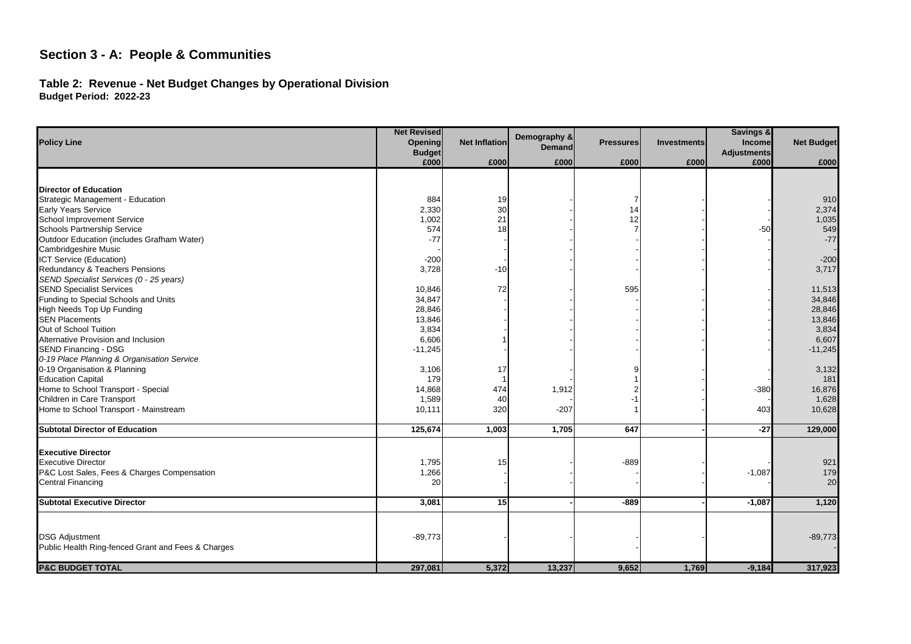#### Table 2: Revenue - Net Budget Changes by Operational Division **Budget Period: 2022-23** Check

|                                                    | <b>Net Revised</b>              |                      | Demography & |                  |                    | Savings &                    |                   |
|----------------------------------------------------|---------------------------------|----------------------|--------------|------------------|--------------------|------------------------------|-------------------|
| <b>Policy Line</b>                                 | <b>Opening</b><br><b>Budget</b> | <b>Net Inflation</b> | Demand       | <b>Pressures</b> | <b>Investments</b> | Income<br><b>Adjustments</b> | <b>Net Budget</b> |
|                                                    | £000                            | £000                 | £000         | £000             | £000               | £000                         | £000              |
|                                                    |                                 |                      |              |                  |                    |                              |                   |
| <b>Director of Education</b>                       |                                 |                      |              |                  |                    |                              |                   |
| Strategic Management - Education                   | 884                             | 19                   |              | 7                |                    |                              | 910               |
| <b>Early Years Service</b>                         | 2,330                           | 30                   |              | 14               |                    |                              | 2,374             |
| School Improvement Service                         | 1,002                           | 21                   |              | 12               |                    |                              | 1,035             |
| Schools Partnership Service                        | 574                             | 18                   |              |                  |                    | $-50$                        | 549               |
| Outdoor Education (includes Grafham Water)         | $-77$                           |                      |              |                  |                    |                              | $-77$             |
| Cambridgeshire Music                               |                                 |                      |              |                  |                    |                              |                   |
| ICT Service (Education)                            | $-200$                          |                      |              |                  |                    |                              | $-200$            |
| Redundancy & Teachers Pensions                     | 3,728                           | $-10$                |              |                  |                    |                              | 3,717             |
| SEND Specialist Services (0 - 25 years)            |                                 |                      |              |                  |                    |                              |                   |
| <b>SEND Specialist Services</b>                    | 10,846                          | 72                   |              | 595              |                    |                              | 11,513            |
| Funding to Special Schools and Units               | 34,847                          |                      |              |                  |                    |                              | 34,846            |
| High Needs Top Up Funding                          | 28,846                          |                      |              |                  |                    |                              | 28,846            |
| <b>SEN Placements</b>                              | 13,846                          |                      |              |                  |                    |                              | 13,846            |
| Out of School Tuition                              | 3,834                           |                      |              |                  |                    |                              | 3,834             |
| Alternative Provision and Inclusion                | 6,606                           |                      |              |                  |                    |                              | 6,607             |
| <b>SEND Financing - DSG</b>                        | $-11,245$                       |                      |              |                  |                    |                              | $-11,245$         |
| 0-19 Place Planning & Organisation Service         |                                 |                      |              |                  |                    |                              |                   |
| 0-19 Organisation & Planning                       | 3,106                           | 17                   |              |                  |                    |                              | 3,132             |
| <b>Education Capital</b>                           | 179                             |                      |              |                  |                    |                              | 181               |
| Home to School Transport - Special                 | 14,868                          | 474                  | 1,912        |                  |                    | $-380$                       | 16,876            |
| Children in Care Transport                         | 1,589                           | 40                   |              |                  |                    |                              | 1,628             |
| Home to School Transport - Mainstream              | 10,111                          | 320                  | $-207$       |                  |                    | 403                          | 10,628            |
| <b>Subtotal Director of Education</b>              | 125,674                         | 1,003                | 1,705        | 647              |                    | $-27$                        | 129,000           |
|                                                    |                                 |                      |              |                  |                    |                              |                   |
| <b>Executive Director</b>                          |                                 |                      |              |                  |                    |                              |                   |
| <b>Executive Director</b>                          | 1,795                           | 15                   |              | $-889$           |                    |                              | 921               |
| P&C Lost Sales, Fees & Charges Compensation        | 1,266                           |                      |              |                  |                    | $-1,087$                     | 179               |
| <b>Central Financing</b>                           | 20                              |                      |              |                  |                    |                              | 20                |
| <b>Subtotal Executive Director</b>                 | 3,081                           | 15                   |              | $-889$           |                    | $-1,087$                     | 1,120             |
|                                                    |                                 |                      |              |                  |                    |                              |                   |
|                                                    |                                 |                      |              |                  |                    |                              |                   |
| <b>DSG Adjustment</b>                              | $-89,773$                       |                      |              |                  |                    |                              | $-89,773$         |
| Public Health Ring-fenced Grant and Fees & Charges |                                 |                      |              |                  |                    |                              |                   |
| <b>P&amp;C BUDGET TOTAL</b>                        | 297,081                         | 5,372                | 13,237       | 9,652            | 1,769              | $-9,184$                     | 317,923           |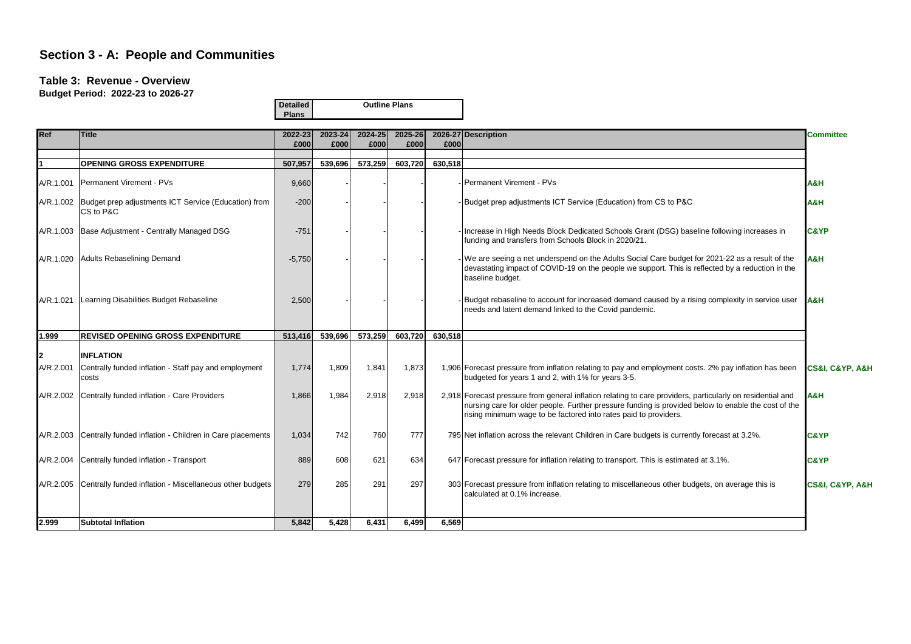#### **Table 3: Revenue - Overview**

**Budget Period: 2022-23 to 2026-27**

|           |                                                                               | <b>Detailed</b><br><b>Plans</b> |                 | <b>Outline Plans</b> |                 |         |                                                                                                                                                                                                                                                                                       |                  |
|-----------|-------------------------------------------------------------------------------|---------------------------------|-----------------|----------------------|-----------------|---------|---------------------------------------------------------------------------------------------------------------------------------------------------------------------------------------------------------------------------------------------------------------------------------------|------------------|
| Ref       | <b>Title</b>                                                                  | 2022-23<br>£000                 | 2023-24<br>£000 | 2024-25<br>£000      | 2025-26<br>£000 | £000    | 2026-27 Description                                                                                                                                                                                                                                                                   | <b>Committee</b> |
|           | <b>OPENING GROSS EXPENDITURE</b>                                              | 507,957                         | 539,696         | 573,259              | 603,720         | 630,518 |                                                                                                                                                                                                                                                                                       |                  |
|           | A/R.1.001 Permanent Virement - PVs                                            | 9,660                           |                 |                      |                 |         | <b>Permanent Virement - PVs</b>                                                                                                                                                                                                                                                       | A&H              |
|           | A/R.1.002   Budget prep adjustments ICT Service (Education) from<br>CS to P&C | $-200$                          |                 |                      |                 |         | - Budget prep adjustments ICT Service (Education) from CS to P&C                                                                                                                                                                                                                      | <b>A&amp;H</b>   |
|           | A/R.1.003 Base Adjustment - Centrally Managed DSG                             | $-751$                          |                 |                      |                 |         | Increase in High Needs Block Dedicated Schools Grant (DSG) baseline following increases in<br>funding and transfers from Schools Block in 2020/21.                                                                                                                                    | <b>C&amp;YP</b>  |
|           | A/R.1.020 Adults Rebaselining Demand                                          | $-5,750$                        |                 |                      |                 |         | We are seeing a net underspend on the Adults Social Care budget for 2021-22 as a result of the<br>devastating impact of COVID-19 on the people we support. This is reflected by a reduction in the<br>baseline budget.                                                                | H&A              |
| A/R.1.021 | Learning Disabilities Budget Rebaseline                                       | 2,500                           |                 |                      |                 |         | Budget rebaseline to account for increased demand caused by a rising complexity in service user<br>needs and latent demand linked to the Covid pandemic.                                                                                                                              | <b>JA&amp;H</b>  |
| 1.999     | <b>REVISED OPENING GROSS EXPENDITURE</b>                                      | 513,416                         | 539,696         | 573,259              | 603,720         | 630,518 |                                                                                                                                                                                                                                                                                       |                  |
|           | <b>INFLATION</b>                                                              |                                 |                 |                      |                 |         |                                                                                                                                                                                                                                                                                       |                  |
|           | A/R.2.001 Centrally funded inflation - Staff pay and employment<br>costs      | 1.774                           | 1.809           | 1.841                | 1.873           |         | 1,906 Forecast pressure from inflation relating to pay and employment costs. 2% pay inflation has been<br>budgeted for years 1 and 2, with 1% for years 3-5.                                                                                                                          | CS&I, C&YP, A&H  |
|           | A/R.2.002 Centrally funded inflation - Care Providers                         | 1.866                           | 1,984           | 2.918                | 2,918           |         | 2.918 Forecast pressure from general inflation relating to care providers, particularly on residential and<br>nursing care for older people. Further pressure funding is provided below to enable the cost of the<br>rising minimum wage to be factored into rates paid to providers. | <b>A&amp;H</b>   |
|           | A/R.2.003 Centrally funded inflation - Children in Care placements            | 1,034                           | 742             | 760                  | 777             |         | 795 Net inflation across the relevant Children in Care budgets is currently forecast at 3.2%.                                                                                                                                                                                         | <b>C&amp;YP</b>  |
|           | A/R.2.004 Centrally funded inflation - Transport                              | 889                             | 608             | 621                  | 634             |         | 647 Forecast pressure for inflation relating to transport. This is estimated at 3.1%.                                                                                                                                                                                                 | <b>C&amp;YP</b>  |
|           | A/R.2.005 Centrally funded inflation - Miscellaneous other budgets            | 279                             | 285             | 291                  | 297             |         | 303 Forecast pressure from inflation relating to miscellaneous other budgets, on average this is<br>calculated at 0.1% increase.                                                                                                                                                      | CS&I, C&YP, A&H  |
| 2.999     | <b>Subtotal Inflation</b>                                                     | 5,842                           | 5,428           | 6,431                | 6,499           | 6,569   |                                                                                                                                                                                                                                                                                       |                  |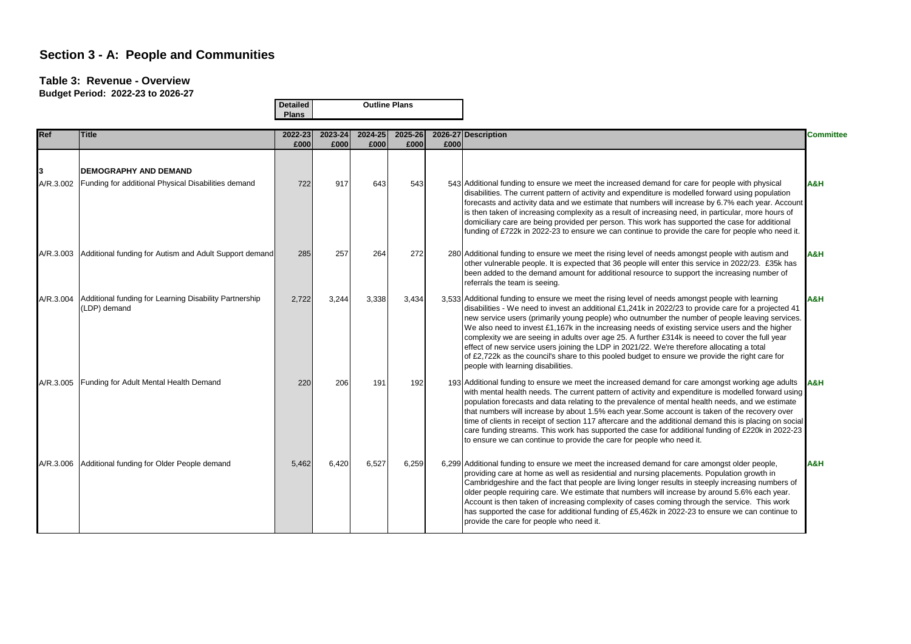#### **Table 3: Revenue - Overview**

|             |                                                                        | <b>Detailed</b><br><b>Plans</b> |                 | <b>Outline Plans</b> |                 |      |                                                                                                                                                                                                                                                                                                                                                                                                                                                                                                                                                                                                                                                                                                                                                           |                  |
|-------------|------------------------------------------------------------------------|---------------------------------|-----------------|----------------------|-----------------|------|-----------------------------------------------------------------------------------------------------------------------------------------------------------------------------------------------------------------------------------------------------------------------------------------------------------------------------------------------------------------------------------------------------------------------------------------------------------------------------------------------------------------------------------------------------------------------------------------------------------------------------------------------------------------------------------------------------------------------------------------------------------|------------------|
| <b>IRef</b> | <b>Title</b>                                                           | 2022-23<br>£000                 | 2023-24<br>£000 | 2024-25<br>£000      | 2025-26<br>£000 | £000 | 2026-27 Description                                                                                                                                                                                                                                                                                                                                                                                                                                                                                                                                                                                                                                                                                                                                       | <b>Committee</b> |
|             | <b>DEMOGRAPHY AND DEMAND</b>                                           |                                 |                 |                      |                 |      |                                                                                                                                                                                                                                                                                                                                                                                                                                                                                                                                                                                                                                                                                                                                                           |                  |
| A/R.3.002   | Funding for additional Physical Disabilities demand                    | 722                             | 917             | 643                  | 543             |      | 543 Additional funding to ensure we meet the increased demand for care for people with physical<br>disabilities. The current pattern of activity and expenditure is modelled forward using population<br>forecasts and activity data and we estimate that numbers will increase by 6.7% each year. Account<br>is then taken of increasing complexity as a result of increasing need, in particular, more hours of<br>domiciliary care are being provided per person. This work has supported the case for additional<br>funding of £722k in 2022-23 to ensure we can continue to provide the care for people who need it.                                                                                                                                 | H&A              |
| A/R 3.003   | Additional funding for Autism and Adult Support demand                 | 285                             | 257             | 264                  | 272             |      | 280 Additional funding to ensure we meet the rising level of needs amongst people with autism and<br>other vulnerable people. It is expected that 36 people will enter this service in 2022/23. £35k has<br>been added to the demand amount for additional resource to support the increasing number of<br>referrals the team is seeing.                                                                                                                                                                                                                                                                                                                                                                                                                  | A&H              |
| A/R.3.004   | Additional funding for Learning Disability Partnership<br>(LDP) demand | 2,722                           | 3,244           | 3,338                | 3,434           |      | 3,533 Additional funding to ensure we meet the rising level of needs amongst people with learning<br>disabilities - We need to invest an additional £1,241k in 2022/23 to provide care for a projected 41<br>new service users (primarily young people) who outnumber the number of people leaving services.<br>We also need to invest £1,167k in the increasing needs of existing service users and the higher<br>complexity we are seeing in adults over age 25. A further £314k is neeed to cover the full year<br>effect of new service users joining the LDP in 2021/22. We're therefore allocating a total<br>of £2,722k as the council's share to this pooled budget to ensure we provide the right care for<br>people with learning disabilities. | A&H              |
| A/R.3.005   | Funding for Adult Mental Health Demand                                 | 220                             | 206             | 191                  | 192             |      | 193 Additional funding to ensure we meet the increased demand for care amongst working age adults<br>with mental health needs. The current pattern of activity and expenditure is modelled forward using<br>population forecasts and data relating to the prevalence of mental health needs, and we estimate<br>that numbers will increase by about 1.5% each year. Some account is taken of the recovery over<br>time of clients in receipt of section 117 aftercare and the additional demand this is placing on social<br>care funding streams. This work has supported the case for additional funding of £220k in 2022-23<br>to ensure we can continue to provide the care for people who need it.                                                   | <b>A&amp;H</b>   |
|             | A/R.3.006 Additional funding for Older People demand                   | 5,462                           | 6,420           | 6,527                | 6,259           |      | 6,299 Additional funding to ensure we meet the increased demand for care amongst older people,<br>providing care at home as well as residential and nursing placements. Population growth in<br>Cambridgeshire and the fact that people are living longer results in steeply increasing numbers of<br>older people requiring care. We estimate that numbers will increase by around 5.6% each year.<br>Account is then taken of increasing complexity of cases coming through the service. This work<br>has supported the case for additional funding of £5,462k in 2022-23 to ensure we can continue to<br>provide the care for people who need it.                                                                                                      | A&H              |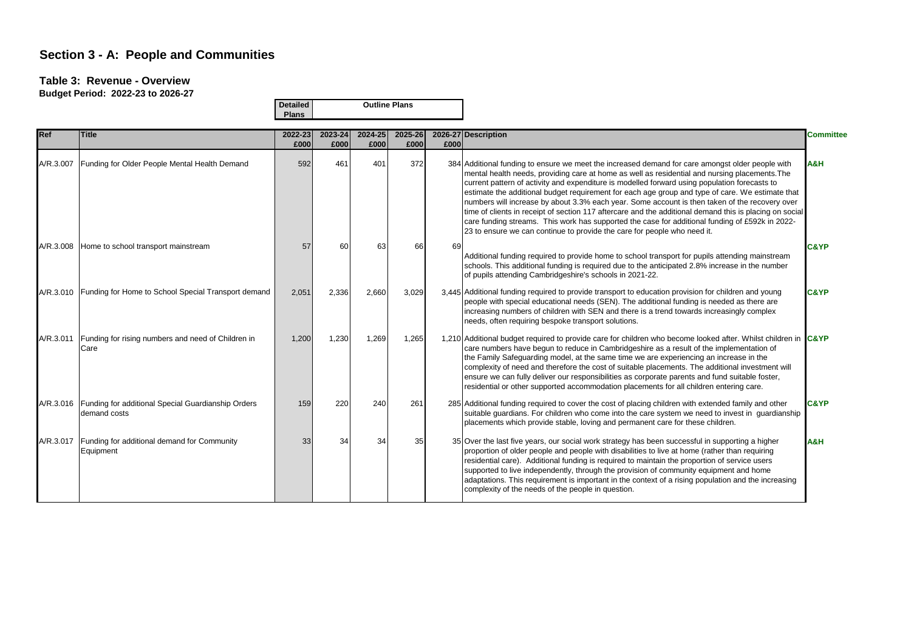### **Table 3: Revenue - Overview**

|            |                                                                    | <b>Detailed</b> |                 |                 | <b>Outline Plans</b> |      |                                                                                                                                                                                                                                                                                                                                                                                                                                                                                                                                                                                                                                                                                                                                                                                                     |                  |
|------------|--------------------------------------------------------------------|-----------------|-----------------|-----------------|----------------------|------|-----------------------------------------------------------------------------------------------------------------------------------------------------------------------------------------------------------------------------------------------------------------------------------------------------------------------------------------------------------------------------------------------------------------------------------------------------------------------------------------------------------------------------------------------------------------------------------------------------------------------------------------------------------------------------------------------------------------------------------------------------------------------------------------------------|------------------|
|            |                                                                    | <b>Plans</b>    |                 |                 |                      |      |                                                                                                                                                                                                                                                                                                                                                                                                                                                                                                                                                                                                                                                                                                                                                                                                     |                  |
| <b>Ref</b> | <b>Title</b>                                                       | 2022-23<br>£000 | 2023-24<br>£000 | 2024-25<br>£000 | 2025-26<br>£000      | £000 | 2026-27 Description                                                                                                                                                                                                                                                                                                                                                                                                                                                                                                                                                                                                                                                                                                                                                                                 | <b>Committee</b> |
| A/R.3.007  | Funding for Older People Mental Health Demand                      | 592             | 461             | 401             | 372                  |      | 384 Additional funding to ensure we meet the increased demand for care amongst older people with<br>mental health needs, providing care at home as well as residential and nursing placements. The<br>current pattern of activity and expenditure is modelled forward using population forecasts to<br>estimate the additional budget requirement for each age group and type of care. We estimate that<br>numbers will increase by about 3.3% each year. Some account is then taken of the recovery over<br>time of clients in receipt of section 117 aftercare and the additional demand this is placing on social<br>care funding streams. This work has supported the case for additional funding of £592k in 2022-<br>23 to ensure we can continue to provide the care for people who need it. | <b>A&amp;H</b>   |
| A/R.3.008  | Home to school transport mainstream                                | 57              | 60              | 63              | 66                   | 69   | Additional funding required to provide home to school transport for pupils attending mainstream<br>schools. This additional funding is required due to the anticipated 2.8% increase in the number<br>of pupils attending Cambridgeshire's schools in 2021-22.                                                                                                                                                                                                                                                                                                                                                                                                                                                                                                                                      | C&YP             |
| A/R.3.010  | Funding for Home to School Special Transport demand                | 2,051           | 2,336           | 2,660           | 3,029                |      | 3,445 Additional funding required to provide transport to education provision for children and young<br>people with special educational needs (SEN). The additional funding is needed as there are<br>increasing numbers of children with SEN and there is a trend towards increasingly complex<br>needs, often requiring bespoke transport solutions.                                                                                                                                                                                                                                                                                                                                                                                                                                              | <b>C&amp;YP</b>  |
| A/R.3.011  | Funding for rising numbers and need of Children in<br>Care         | 1,200           | 1,230           | 1,269           | 1,265                |      | 1,210 Additional budget required to provide care for children who become looked after. Whilst children in C&YP<br>care numbers have begun to reduce in Cambridgeshire as a result of the implementation of<br>the Family Safeguarding model, at the same time we are experiencing an increase in the<br>complexity of need and therefore the cost of suitable placements. The additional investment will<br>ensure we can fully deliver our responsibilities as corporate parents and fund suitable foster,<br>residential or other supported accommodation placements for all children entering care.                                                                                                                                                                                              |                  |
| A/R.3.016  | Funding for additional Special Guardianship Orders<br>demand costs | 159             | 220             | 240             | 261                  |      | 285 Additional funding required to cover the cost of placing children with extended family and other<br>suitable guardians. For children who come into the care system we need to invest in guardianship<br>placements which provide stable, loving and permanent care for these children.                                                                                                                                                                                                                                                                                                                                                                                                                                                                                                          | <b>C&amp;YP</b>  |
| A/R.3.017  | Funding for additional demand for Community<br>Equipment           | 33              | 34              | 34              | 35                   |      | 35 Over the last five years, our social work strategy has been successful in supporting a higher<br>proportion of older people and people with disabilities to live at home (rather than requiring<br>residential care). Additional funding is required to maintain the proportion of service users<br>supported to live independently, through the provision of community equipment and home<br>adaptations. This requirement is important in the context of a rising population and the increasing<br>complexity of the needs of the people in question.                                                                                                                                                                                                                                          | A&H              |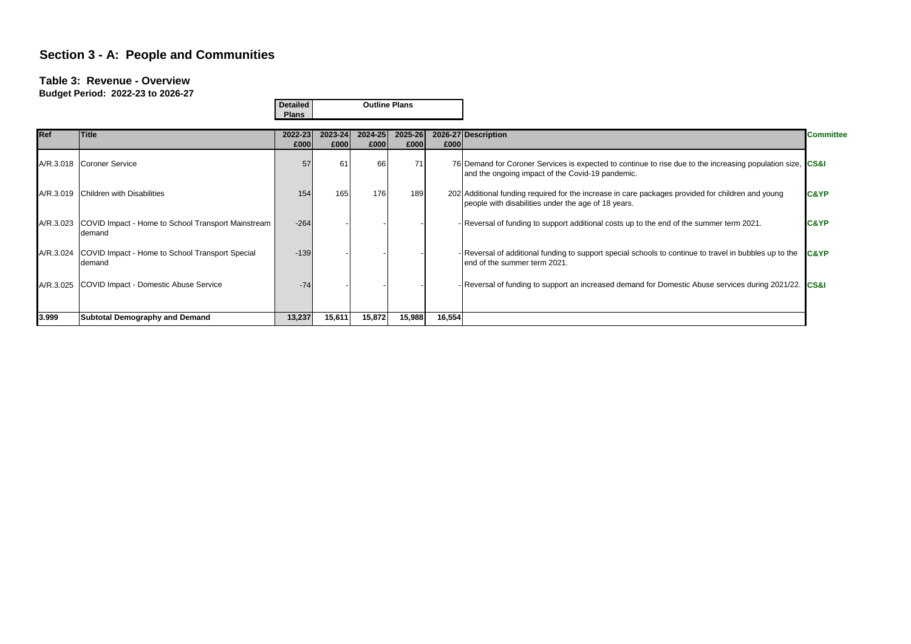#### **Table 3: Revenue - Overview**

|            |                                                                         | <b>Detailed</b> |                 |                 | <b>Outline Plans</b> |        |                                                                                                                                                                |                  |
|------------|-------------------------------------------------------------------------|-----------------|-----------------|-----------------|----------------------|--------|----------------------------------------------------------------------------------------------------------------------------------------------------------------|------------------|
|            |                                                                         | <b>Plans</b>    |                 |                 |                      |        |                                                                                                                                                                |                  |
| <b>Ref</b> | Title                                                                   | 2022-23<br>£000 | 2023-24<br>£000 | 2024-25<br>£000 | 2025-26<br>£000      | £000   | 2026-27 Description                                                                                                                                            | <b>Committee</b> |
|            | A/R.3.018 Coroner Service                                               | 57              | 61              | 66              |                      |        | 76 Demand for Coroner Services is expected to continue to rise due to the increasing population size, CS&I<br>and the ongoing impact of the Covid-19 pandemic. |                  |
|            | A/R.3.019 Children with Disabilities                                    | 154             | 165             | 176             | 189                  |        | 202 Additional funding required for the increase in care packages provided for children and young<br>people with disabilities under the age of 18 years.       | <b>C&amp;YP</b>  |
|            | A/R.3.023 COVID Impact - Home to School Transport Mainstream<br>Idemand | $-264$          |                 |                 |                      |        | - Reversal of funding to support additional costs up to the end of the summer term 2021.                                                                       | <b>C&amp;YP</b>  |
|            | A/R.3.024 COVID Impact - Home to School Transport Special<br>Idemand    | $-139$          |                 |                 |                      |        | - Reversal of additional funding to support special schools to continue to travel in bubbles up to the<br>end of the summer term 2021.                         | <b>IC&amp;YP</b> |
|            | A/R.3.025 COVID Impact - Domestic Abuse Service                         | $-74$           |                 |                 |                      |        | - Reversal of funding to support an increased demand for Domestic Abuse services during 2021/22. CS&I                                                          |                  |
| 3.999      | <b>Subtotal Demography and Demand</b>                                   | 13,237          | 15,611          | 15,872          | 15,988               | 16,554 |                                                                                                                                                                |                  |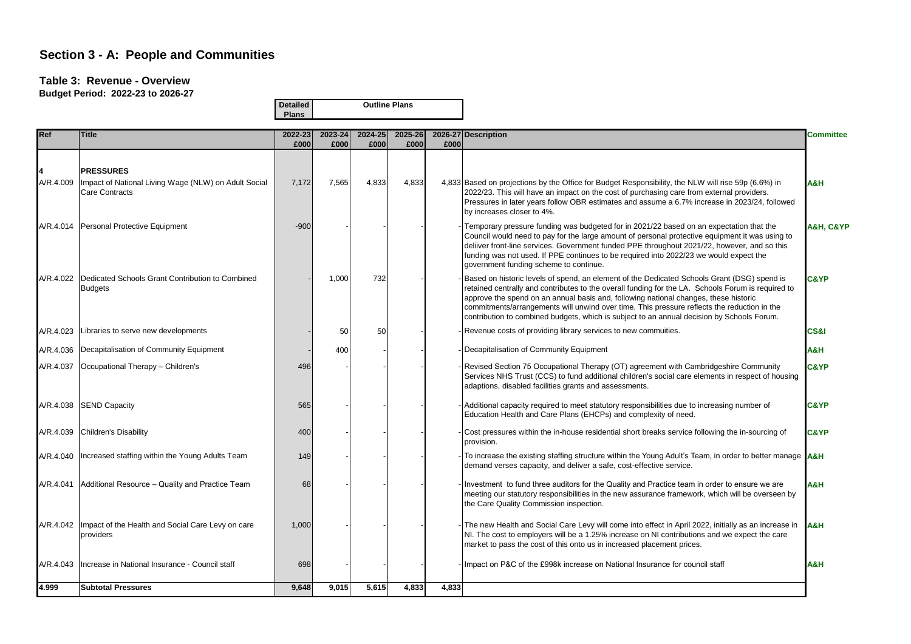#### **Table 3: Revenue - Overview**

|            |                                                                               | <b>Detailed</b> |         | <b>Outline Plans</b> |         |       |                                                                                                                                                                                                                                                                                                                                                                                                                                                                                        |                  |
|------------|-------------------------------------------------------------------------------|-----------------|---------|----------------------|---------|-------|----------------------------------------------------------------------------------------------------------------------------------------------------------------------------------------------------------------------------------------------------------------------------------------------------------------------------------------------------------------------------------------------------------------------------------------------------------------------------------------|------------------|
|            |                                                                               | <b>Plans</b>    |         |                      |         |       |                                                                                                                                                                                                                                                                                                                                                                                                                                                                                        |                  |
| <b>Ref</b> | <b>Title</b>                                                                  | 2022-23         | 2023-24 | 2024-25              | 2025-26 |       | 2026-27 Description                                                                                                                                                                                                                                                                                                                                                                                                                                                                    | <b>Committee</b> |
|            |                                                                               | £000            | £000    | £000                 | £000    | £000  |                                                                                                                                                                                                                                                                                                                                                                                                                                                                                        |                  |
|            | <b>PRESSURES</b>                                                              |                 |         |                      |         |       |                                                                                                                                                                                                                                                                                                                                                                                                                                                                                        |                  |
| A/R.4.009  | Impact of National Living Wage (NLW) on Adult Social<br><b>Care Contracts</b> | 7,172           | 7,565   | 4,833                | 4,833   |       | 4,833 Based on projections by the Office for Budget Responsibility, the NLW will rise 59p (6.6%) in<br>2022/23. This will have an impact on the cost of purchasing care from external providers.<br>Pressures in later years follow OBR estimates and assume a 6.7% increase in 2023/24, followed<br>by increases closer to 4%.                                                                                                                                                        | H&A              |
|            | A/R.4.014 Personal Protective Equipment                                       | $-900$          |         |                      |         |       | Temporary pressure funding was budgeted for in 2021/22 based on an expectation that the<br>Council would need to pay for the large amount of personal protective equipment it was using to<br>deliiver front-line services. Government funded PPE throughout 2021/22, however, and so this<br>funding was not used. If PPE continues to be required into 2022/23 we would expect the<br>government funding scheme to continue.                                                         | A&H, C&YP        |
|            | A/R.4.022 Dedicated Schools Grant Contribution to Combined<br><b>Budgets</b>  |                 | 1.000   | 732                  |         |       | Based on historic levels of spend, an element of the Dedicated Schools Grant (DSG) spend is<br>retained centrally and contributes to the overall funding for the LA. Schools Forum is required to<br>approve the spend on an annual basis and, following national changes, these historic<br>commitments/arrangements will unwind over time. This pressure reflects the reduction in the<br>contribution to combined budgets, which is subject to an annual decision by Schools Forum. | <b>C&amp;YP</b>  |
| A/R.4.023  | Libraries to serve new developments                                           |                 | 50      | 50                   |         |       | Revenue costs of providing library services to new commuities.                                                                                                                                                                                                                                                                                                                                                                                                                         | CS&I             |
|            | A/R.4.036 Decapitalisation of Community Equipment                             |                 | 400     |                      |         |       | Decapitalisation of Community Equipment                                                                                                                                                                                                                                                                                                                                                                                                                                                | H&A              |
| A/R.4.037  | Occupational Therapy - Children's                                             | 496             |         |                      |         |       | Revised Section 75 Occupational Therapy (OT) agreement with Cambridgeshire Community<br>Services NHS Trust (CCS) to fund additional children's social care elements in respect of housing<br>adaptions, disabled facilities grants and assessments.                                                                                                                                                                                                                                    | <b>C&amp;YP</b>  |
| A/R.4.038  | <b>SEND Capacity</b>                                                          | 565             |         |                      |         |       | Additional capacity required to meet statutory responsibilities due to increasing number of<br>Education Health and Care Plans (EHCPs) and complexity of need.                                                                                                                                                                                                                                                                                                                         | <b>C&amp;YP</b>  |
| A/R.4.039  | Children's Disability                                                         | 400             |         |                      |         |       | Cost pressures within the in-house residential short breaks service following the in-sourcing of<br>provision.                                                                                                                                                                                                                                                                                                                                                                         | <b>C&amp;YP</b>  |
|            | A/R.4.040   Increased staffing within the Young Adults Team                   | 149             |         |                      |         |       | To increase the existing staffing structure within the Young Adult's Team, in order to better manage <b>A&amp;H</b><br>demand verses capacity, and deliver a safe, cost-effective service.                                                                                                                                                                                                                                                                                             |                  |
| A/R.4.041  | Additional Resource - Quality and Practice Team                               | 68              |         |                      |         |       | Investment to fund three auditors for the Quality and Practice team in order to ensure we are<br>meeting our statutory responsibilities in the new assurance framework, which will be overseen by<br>the Care Quality Commission inspection.                                                                                                                                                                                                                                           | A&H              |
|            | A/R.4.042   Impact of the Health and Social Care Levy on care<br>providers    | 1,000           |         |                      |         |       | The new Health and Social Care Levy will come into effect in April 2022, initially as an increase in<br>NI. The cost to employers will be a 1.25% increase on NI contributions and we expect the care<br>market to pass the cost of this onto us in increased placement prices.                                                                                                                                                                                                        | H&A              |
| A/R.4.043  | Increase in National Insurance - Council staff                                | 698             |         |                      |         |       | Impact on P&C of the £998k increase on National Insurance for council staff                                                                                                                                                                                                                                                                                                                                                                                                            | H&A              |
| 4.999      | <b>Subtotal Pressures</b>                                                     | 9,648           | 9,015   | 5,615                | 4,833   | 4,833 |                                                                                                                                                                                                                                                                                                                                                                                                                                                                                        |                  |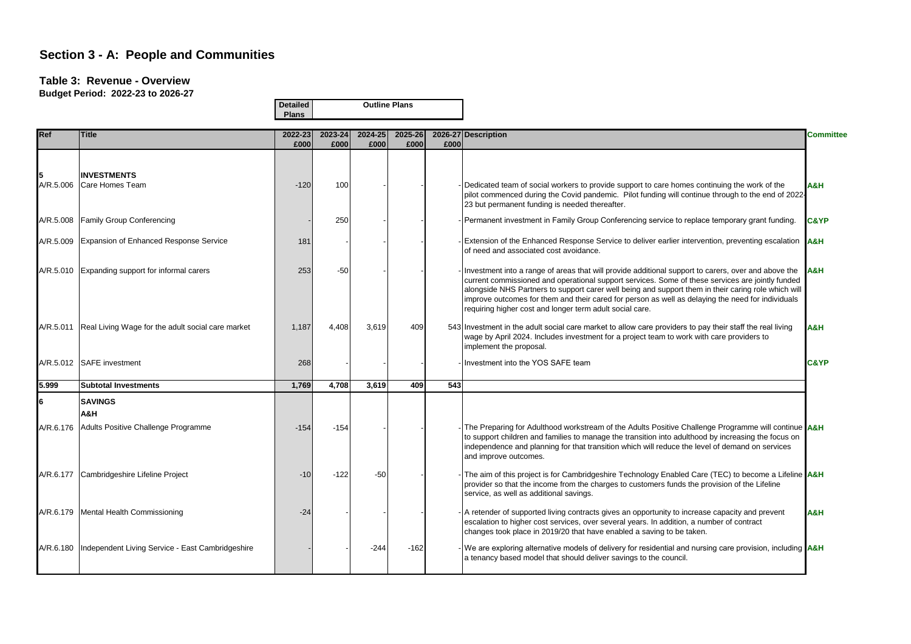#### **Table 3: Revenue - Overview**

|            |                                                              | <b>Detailed</b> |                 |                 | <b>Outline Plans</b> |      |                                                                                                                                                                                                                                                                                                                                                                                                                                                                                        |                  |
|------------|--------------------------------------------------------------|-----------------|-----------------|-----------------|----------------------|------|----------------------------------------------------------------------------------------------------------------------------------------------------------------------------------------------------------------------------------------------------------------------------------------------------------------------------------------------------------------------------------------------------------------------------------------------------------------------------------------|------------------|
|            |                                                              | <b>Plans</b>    |                 |                 |                      |      |                                                                                                                                                                                                                                                                                                                                                                                                                                                                                        |                  |
| <b>Ref</b> | <b>Title</b>                                                 | 2022-23<br>£000 | 2023-24<br>£000 | 2024-25<br>£000 | 2025-26<br>£000      | £000 | 2026-27 Description                                                                                                                                                                                                                                                                                                                                                                                                                                                                    | <b>Committee</b> |
|            |                                                              |                 |                 |                 |                      |      |                                                                                                                                                                                                                                                                                                                                                                                                                                                                                        |                  |
|            | <b>INVESTMENTS</b><br>A/R.5.006 Care Homes Team              | $-120$          | 100             |                 |                      |      | - Dedicated team of social workers to provide support to care homes continuing the work of the<br>pilot commenced during the Covid pandemic. Pilot funding will continue through to the end of 2022-<br>23 but permanent funding is needed thereafter.                                                                                                                                                                                                                                 | H&A              |
|            | A/R.5.008 Family Group Conferencing                          |                 | 250             |                 |                      |      | - Permanent investment in Family Group Conferencing service to replace temporary grant funding.                                                                                                                                                                                                                                                                                                                                                                                        | <b>C&amp;YP</b>  |
|            | A/R.5.009 Expansion of Enhanced Response Service             | 181             |                 |                 |                      |      | - Extension of the Enhanced Response Service to deliver earlier intervention, preventing escalation A&H<br>of need and associated cost avoidance.                                                                                                                                                                                                                                                                                                                                      |                  |
|            | A/R.5.010 Expanding support for informal carers              | 253             | $-50$           |                 |                      |      | Investment into a range of areas that will provide additional support to carers, over and above the $A\&H$<br>current commissioned and operational support services. Some of these services are jointly funded<br>alongside NHS Partners to support carer well being and support them in their caring role which will<br>improve outcomes for them and their cared for person as well as delaying the need for individuals<br>requiring higher cost and longer term adult social care. |                  |
|            | A/R.5.011 Real Living Wage for the adult social care market  | 1,187           | 4,408           | 3,619           | 409                  |      | 543 Investment in the adult social care market to allow care providers to pay their staff the real living<br>wage by April 2024. Includes investment for a project team to work with care providers to<br>implement the proposal.                                                                                                                                                                                                                                                      | A&H              |
|            | A/R.5.012 SAFE investment                                    | 268             |                 |                 |                      |      | Investment into the YOS SAFE team                                                                                                                                                                                                                                                                                                                                                                                                                                                      | <b>C&amp;YP</b>  |
| 5.999      | <b>Subtotal Investments</b>                                  | 1,769           | 4,708           | 3,619           | 409                  | 543  |                                                                                                                                                                                                                                                                                                                                                                                                                                                                                        |                  |
| l6         | <b>SAVINGS</b><br>A&H                                        |                 |                 |                 |                      |      |                                                                                                                                                                                                                                                                                                                                                                                                                                                                                        |                  |
|            | A/R.6.176 Adults Positive Challenge Programme                | $-154$          | $-154$          |                 |                      |      | The Preparing for Adulthood workstream of the Adults Positive Challenge Programme will continue A&H<br>to support children and families to manage the transition into adulthood by increasing the focus on<br>independence and planning for that transition which will reduce the level of demand on services<br>and improve outcomes.                                                                                                                                                 |                  |
|            | A/R.6.177 Cambridgeshire Lifeline Project                    | $-10$           | $-122$          | $-50$           |                      |      | The aim of this project is for Cambridgeshire Technology Enabled Care (TEC) to become a Lifeline <b>A&amp;H</b><br>provider so that the income from the charges to customers funds the provision of the Lifeline<br>service, as well as additional savings.                                                                                                                                                                                                                            |                  |
|            | A/R.6.179   Mental Health Commissioning                      | $-24$           |                 |                 |                      |      | - A retender of supported living contracts gives an opportunity to increase capacity and prevent<br>escalation to higher cost services, over several years. In addition, a number of contract<br>changes took place in 2019/20 that have enabled a saving to be taken.                                                                                                                                                                                                                 | <b>A&amp;H</b>   |
|            | A/R.6.180   Independent Living Service - East Cambridgeshire |                 |                 | $-244$          | $-162$               |      | - We are exploring alternative models of delivery for residential and nursing care provision, including <b>A&amp;H</b><br>a tenancy based model that should deliver savings to the council.                                                                                                                                                                                                                                                                                            |                  |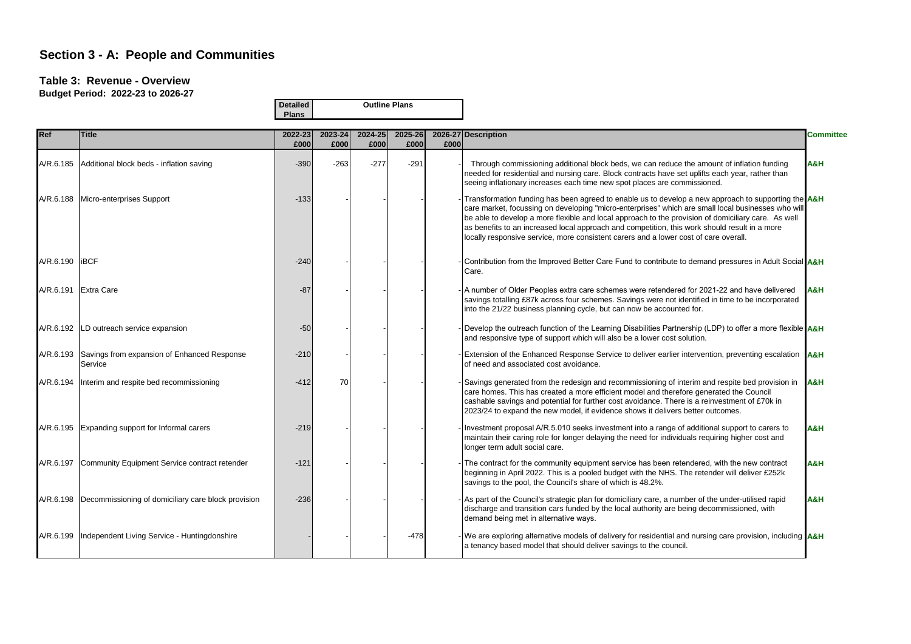#### **Table 3: Revenue - Overview**

|            | <b>Detailed</b><br><b>Plans</b>                        |                 |                 | <b>Outline Plans</b> |                 |      |                                                                                                                                                                                                                                                                                                                                                                                                                                                                                                           |                  |
|------------|--------------------------------------------------------|-----------------|-----------------|----------------------|-----------------|------|-----------------------------------------------------------------------------------------------------------------------------------------------------------------------------------------------------------------------------------------------------------------------------------------------------------------------------------------------------------------------------------------------------------------------------------------------------------------------------------------------------------|------------------|
| <b>Ref</b> | <b>Title</b>                                           | 2022-23<br>£000 | 2023-24<br>£000 | 2024-25<br>£000      | 2025-26<br>£000 | £000 | 2026-27 Description                                                                                                                                                                                                                                                                                                                                                                                                                                                                                       | <b>Committee</b> |
| A/R.6.185  | Additional block beds - inflation saving               | $-390$          | $-263$          | $-277$               | $-291$          |      | Through commissioning additional block beds, we can reduce the amount of inflation funding<br>needed for residential and nursing care. Block contracts have set uplifts each year, rather than<br>seeing inflationary increases each time new spot places are commissioned.                                                                                                                                                                                                                               | H&A              |
|            | A/R.6.188 Micro-enterprises Support                    | $-133$          |                 |                      |                 |      | Transformation funding has been agreed to enable us to develop a new approach to supporting the A&H<br>care market, focussing on developing "micro-enterprises" which are small local businesses who will<br>be able to develop a more flexible and local approach to the provision of domiciliary care. As well<br>as benefits to an increased local approach and competition, this work should result in a more<br>locally responsive service, more consistent carers and a lower cost of care overall. |                  |
| A/R.6.190  | <b>IBCF</b>                                            | $-240$          |                 |                      |                 |      | Contribution from the Improved Better Care Fund to contribute to demand pressures in Adult Social A&H<br>Care.                                                                                                                                                                                                                                                                                                                                                                                            |                  |
|            | A/R.6.191 Extra Care                                   | $-87$           |                 |                      |                 |      | A number of Older Peoples extra care schemes were retendered for 2021-22 and have delivered<br>savings totalling £87k across four schemes. Savings were not identified in time to be incorporated<br>into the 21/22 business planning cycle, but can now be accounted for.                                                                                                                                                                                                                                | <b>H&amp;A</b>   |
| A/R.6.192  | LD outreach service expansion                          | $-50$           |                 |                      |                 |      | Develop the outreach function of the Learning Disabilities Partnership (LDP) to offer a more flexible $A\&H$<br>and responsive type of support which will also be a lower cost solution.                                                                                                                                                                                                                                                                                                                  |                  |
| A/R.6.193  | Savings from expansion of Enhanced Response<br>Service | $-210$          |                 |                      |                 |      | Extension of the Enhanced Response Service to deliver earlier intervention, preventing escalation A&H<br>of need and associated cost avoidance.                                                                                                                                                                                                                                                                                                                                                           |                  |
| A/R.6.194  | Interim and respite bed recommissioning                | $-412$          | 70              |                      |                 |      | Savings generated from the redesign and recommissioning of interim and respite bed provision in A&H<br>care homes. This has created a more efficient model and therefore generated the Council<br>cashable savings and potential for further cost avoidance. There is a reinvestment of £70k in<br>2023/24 to expand the new model, if evidence shows it delivers better outcomes.                                                                                                                        |                  |
|            | A/R.6.195 Expanding support for Informal carers        | $-219$          |                 |                      |                 |      | Investment proposal A/R.5.010 seeks investment into a range of additional support to carers to<br>maintain their caring role for longer delaying the need for individuals requiring higher cost and<br>longer term adult social care.                                                                                                                                                                                                                                                                     | A&H              |
| A/R.6.197  | Community Equipment Service contract retender          | $-121$          |                 |                      |                 |      | The contract for the community equipment service has been retendered, with the new contract<br>beginning in April 2022. This is a pooled budget with the NHS. The retender will deliver £252k<br>savings to the pool, the Council's share of which is 48.2%.                                                                                                                                                                                                                                              | A&H              |
| A/R.6.198  | Decommissioning of domiciliary care block provision    | $-236$          |                 |                      |                 |      | As part of the Council's strategic plan for domiciliary care, a number of the under-utilised rapid<br>discharge and transition cars funded by the local authority are being decommissioned, with<br>demand being met in alternative ways.                                                                                                                                                                                                                                                                 | A&H              |
| A/R.6.199  | Independent Living Service - Huntingdonshire           |                 |                 |                      | $-478$          |      | We are exploring alternative models of delivery for residential and nursing care provision, including <b>A&amp;H</b><br>a tenancy based model that should deliver savings to the council.                                                                                                                                                                                                                                                                                                                 |                  |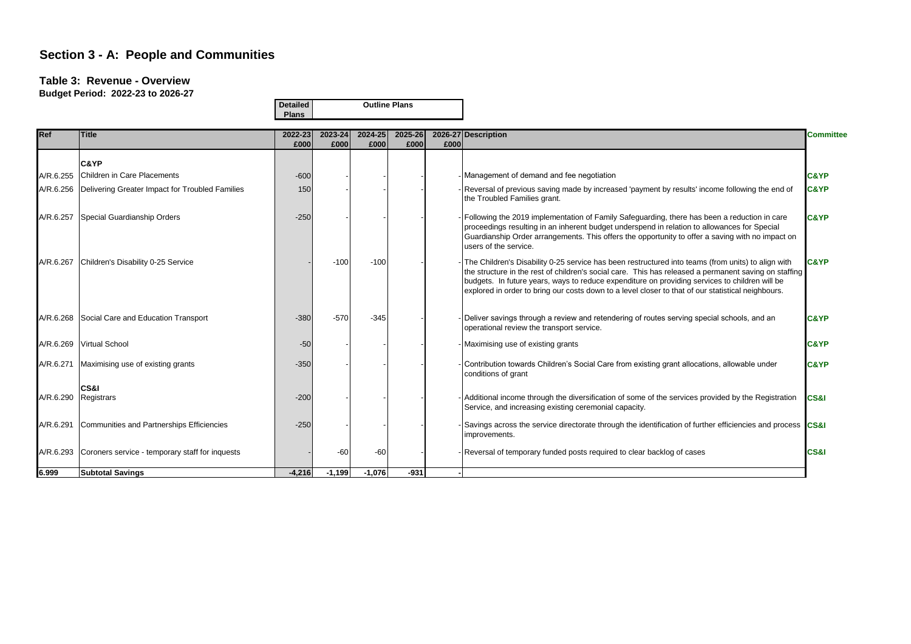#### **Table 3: Revenue - Overview**

**Budget Period: 2022-23 to 2026-27**

**Outline Plans**

**Detailed**

|            |                                                           | <b>Plans</b>    |                 |                 |                 |      |                                                                                                                                                                                                                                                                                                                                                                                                                     |                  |
|------------|-----------------------------------------------------------|-----------------|-----------------|-----------------|-----------------|------|---------------------------------------------------------------------------------------------------------------------------------------------------------------------------------------------------------------------------------------------------------------------------------------------------------------------------------------------------------------------------------------------------------------------|------------------|
| <b>Ref</b> | <b>Title</b>                                              | 2022-23<br>£000 | 2023-24<br>£000 | 2024-25<br>£000 | 2025-26<br>£000 | £000 | 2026-27 Description                                                                                                                                                                                                                                                                                                                                                                                                 | <b>Committee</b> |
|            | C&YP                                                      |                 |                 |                 |                 |      |                                                                                                                                                                                                                                                                                                                                                                                                                     |                  |
| A/R.6.255  | Children in Care Placements                               | $-600$          |                 |                 |                 |      | Management of demand and fee negotiation                                                                                                                                                                                                                                                                                                                                                                            | <b>C&amp;YP</b>  |
|            | A/R.6.256 Delivering Greater Impact for Troubled Families | 150             |                 |                 |                 |      | Reversal of previous saving made by increased 'payment by results' income following the end of<br>the Troubled Families grant.                                                                                                                                                                                                                                                                                      | <b>C&amp;YP</b>  |
| A/R.6.257  | Special Guardianship Orders                               | $-250$          |                 |                 |                 |      | Following the 2019 implementation of Family Safeguarding, there has been a reduction in care<br>proceedings resulting in an inherent budget underspend in relation to allowances for Special<br>Guardianship Order arrangements. This offers the opportunity to offer a saving with no impact on<br>users of the service.                                                                                           | <b>C&amp;YP</b>  |
| A/R.6.267  | Children's Disability 0-25 Service                        |                 | $-100$          | $-100$          |                 |      | The Children's Disability 0-25 service has been restructured into teams (from units) to align with<br>the structure in the rest of children's social care. This has released a permanent saving on staffing<br>budgets. In future years, ways to reduce expenditure on providing services to children will be<br>explored in order to bring our costs down to a level closer to that of our statistical neighbours. | <b>C&amp;YP</b>  |
|            | A/R.6.268 Social Care and Education Transport             | $-380$          | $-570$          | $-345$          |                 |      | Deliver savings through a review and retendering of routes serving special schools, and an<br>operational review the transport service.                                                                                                                                                                                                                                                                             | <b>C&amp;YP</b>  |
|            | A/R.6.269 Virtual School                                  | $-50$           |                 |                 |                 |      | Maximising use of existing grants                                                                                                                                                                                                                                                                                                                                                                                   | <b>C&amp;YP</b>  |
| A/R.6.271  | Maximising use of existing grants                         | $-350$          |                 |                 |                 |      | Contribution towards Children's Social Care from existing grant allocations, allowable under<br>conditions of grant                                                                                                                                                                                                                                                                                                 | <b>C&amp;YP</b>  |
| A/R.6.290  | CS&I<br>Registrars                                        | $-200$          |                 |                 |                 |      | Additional income through the diversification of some of the services provided by the Registration<br>Service, and increasing existing ceremonial capacity.                                                                                                                                                                                                                                                         | CS&I             |
| A/R.6.291  | Communities and Partnerships Efficiencies                 | $-250$          |                 |                 |                 |      | Savings across the service directorate through the identification of further efficiencies and process CS&I<br>improvements.                                                                                                                                                                                                                                                                                         |                  |
|            | A/R.6.293 Coroners service - temporary staff for inquests |                 | $-60$           | $-60$           |                 |      | Reversal of temporary funded posts required to clear backlog of cases                                                                                                                                                                                                                                                                                                                                               | CS&I             |
| 6.999      | <b>Subtotal Savings</b>                                   | $-4.216$        | $-1.199$        | $-1.076$        | $-931$          |      |                                                                                                                                                                                                                                                                                                                                                                                                                     |                  |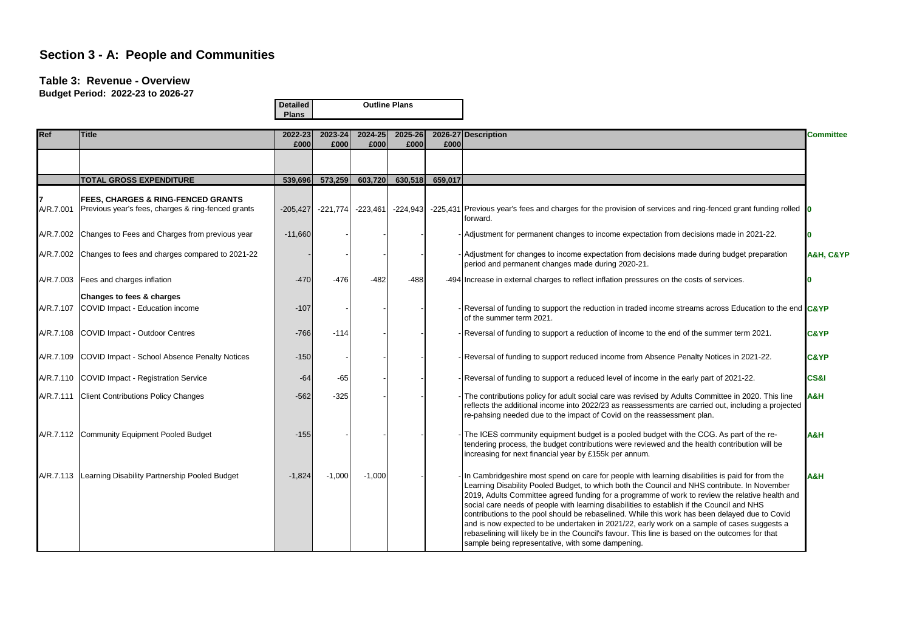#### **Table 3: Revenue - Overview**

| Buyyot I GHOU. EULL LY TO LULY |                                                                                                     | <b>Detailed</b><br><b>Plans</b> |                 |                 | <b>Outline Plans</b> |                         |                                                                                                                                                                                                                                                                                                                                                                                                                                                                                                                                                                                                                                                                                                                                                            |                 |  |
|--------------------------------|-----------------------------------------------------------------------------------------------------|---------------------------------|-----------------|-----------------|----------------------|-------------------------|------------------------------------------------------------------------------------------------------------------------------------------------------------------------------------------------------------------------------------------------------------------------------------------------------------------------------------------------------------------------------------------------------------------------------------------------------------------------------------------------------------------------------------------------------------------------------------------------------------------------------------------------------------------------------------------------------------------------------------------------------------|-----------------|--|
| <b>Ref</b>                     | <b>Title</b>                                                                                        | 2022-23<br>£000                 | 2023-24<br>£000 | 2024-25<br>£000 | 2025-26<br>£000      | £000                    | 2026-27 Description                                                                                                                                                                                                                                                                                                                                                                                                                                                                                                                                                                                                                                                                                                                                        | Committee       |  |
|                                |                                                                                                     |                                 |                 |                 |                      |                         |                                                                                                                                                                                                                                                                                                                                                                                                                                                                                                                                                                                                                                                                                                                                                            |                 |  |
|                                | <b>TOTAL GROSS EXPENDITURE</b>                                                                      |                                 | 539,696 573,259 |                 |                      | 603,720 630,518 659,017 |                                                                                                                                                                                                                                                                                                                                                                                                                                                                                                                                                                                                                                                                                                                                                            |                 |  |
| A/R.7.001                      | <b>FEES, CHARGES &amp; RING-FENCED GRANTS</b><br>Previous year's fees, charges & ring-fenced grants | $-205,427$                      | $-221,774$      | $-223,461$      | $-224,943$           |                         | -225,431 Previous year's fees and charges for the provision of services and ring-fenced grant funding rolled $\vert$ 0<br>forward.                                                                                                                                                                                                                                                                                                                                                                                                                                                                                                                                                                                                                         |                 |  |
|                                | A/R.7.002 Changes to Fees and Charges from previous year                                            | $-11,660$                       |                 |                 |                      |                         | - Adjustment for permanent changes to income expectation from decisions made in 2021-22.                                                                                                                                                                                                                                                                                                                                                                                                                                                                                                                                                                                                                                                                   |                 |  |
|                                | A/R.7.002 Changes to fees and charges compared to 2021-22                                           |                                 |                 |                 |                      |                         | - Adjustment for changes to income expectation from decisions made during budget preparation<br>period and permanent changes made during 2020-21.                                                                                                                                                                                                                                                                                                                                                                                                                                                                                                                                                                                                          | A&H, C&YP       |  |
|                                | A/R.7.003 Fees and charges inflation                                                                | $-470$                          | $-476$          | $-482$          | $-488$               |                         | -494 Increase in external charges to reflect inflation pressures on the costs of services.                                                                                                                                                                                                                                                                                                                                                                                                                                                                                                                                                                                                                                                                 |                 |  |
|                                | Changes to fees & charges<br>A/R.7.107 COVID Impact - Education income                              | $-107$                          |                 |                 |                      |                         | Reversal of funding to support the reduction in traded income streams across Education to the end C&YP<br>of the summer term 2021.                                                                                                                                                                                                                                                                                                                                                                                                                                                                                                                                                                                                                         |                 |  |
|                                | A/R.7.108 COVID Impact - Outdoor Centres                                                            | $-766$                          | $-114$          |                 |                      |                         | Reversal of funding to support a reduction of income to the end of the summer term 2021.                                                                                                                                                                                                                                                                                                                                                                                                                                                                                                                                                                                                                                                                   | <b>C&amp;YP</b> |  |
|                                | A/R.7.109 COVID Impact - School Absence Penalty Notices                                             | $-150$                          |                 |                 |                      |                         | - Reversal of funding to support reduced income from Absence Penalty Notices in 2021-22.                                                                                                                                                                                                                                                                                                                                                                                                                                                                                                                                                                                                                                                                   | C&YP            |  |
|                                | A/R.7.110 COVID Impact - Registration Service                                                       | $-64$                           | $-65$           |                 |                      |                         | - Reversal of funding to support a reduced level of income in the early part of 2021-22.                                                                                                                                                                                                                                                                                                                                                                                                                                                                                                                                                                                                                                                                   | CS&I            |  |
|                                | A/R.7.111 Client Contributions Policy Changes                                                       | $-562$                          | $-325$          |                 |                      |                         | The contributions policy for adult social care was revised by Adults Committee in 2020. This line<br>reflects the additional income into 2022/23 as reassessments are carried out, including a projected<br>re-pahsing needed due to the impact of Covid on the reassessment plan.                                                                                                                                                                                                                                                                                                                                                                                                                                                                         | H&A             |  |
|                                | A/R.7.112 Community Equipment Pooled Budget                                                         | $-155$                          |                 |                 |                      |                         | The ICES community equipment budget is a pooled budget with the CCG. As part of the re-<br>tendering process, the budget contributions were reviewed and the health contribution will be<br>increasing for next financial year by £155k per annum.                                                                                                                                                                                                                                                                                                                                                                                                                                                                                                         | H&A             |  |
| A/R.7.113                      | Learning Disability Partnership Pooled Budget                                                       | $-1,824$                        | $-1,000$        | $-1,000$        |                      |                         | In Cambridgeshire most spend on care for people with learning disabilities is paid for from the<br>Learning Disability Pooled Budget, to which both the Council and NHS contribute. In November<br>2019, Adults Committee agreed funding for a programme of work to review the relative health and<br>social care needs of people with learning disabilities to establish if the Council and NHS<br>contributions to the pool should be rebaselined. While this work has been delayed due to Covid<br>and is now expected to be undertaken in 2021/22, early work on a sample of cases suggests a<br>rebaselining will likely be in the Council's favour. This line is based on the outcomes for that<br>sample being representative, with some dampening. | H&A             |  |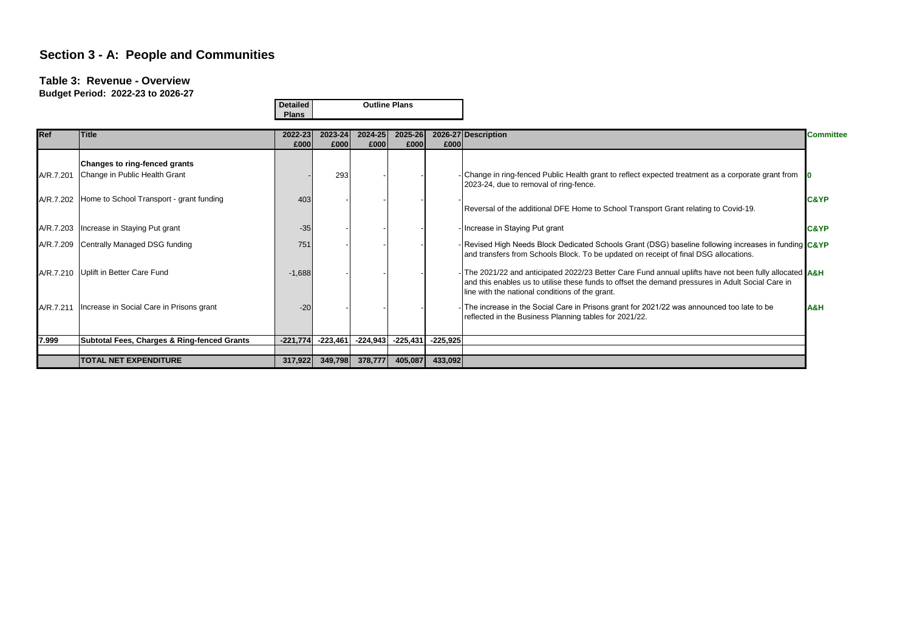#### **Table 3: Revenue - Overview**

|           |                                                                | <b>Detailed</b><br><b>Plans</b> |                 | <b>Outline Plans</b> |                 |            |                                                                                                                                                                                                                                                                            |                  |  |
|-----------|----------------------------------------------------------------|---------------------------------|-----------------|----------------------|-----------------|------------|----------------------------------------------------------------------------------------------------------------------------------------------------------------------------------------------------------------------------------------------------------------------------|------------------|--|
| Ref       | <b>Title</b>                                                   | 2022-23<br>£000                 | 2023-24<br>£000 | 2024-25<br>£000      | 2025-26<br>£000 | £000       | 2026-27 Description                                                                                                                                                                                                                                                        | <b>Committee</b> |  |
| A/R.7.201 | Changes to ring-fenced grants<br>Change in Public Health Grant |                                 | 293             |                      |                 |            | Change in ring-fenced Public Health grant to reflect expected treatment as a corporate grant from<br>2023-24, due to removal of ring-fence.                                                                                                                                |                  |  |
|           | A/R.7.202 Home to School Transport - grant funding             | 403                             |                 |                      |                 |            | Reversal of the additional DFE Home to School Transport Grant relating to Covid-19.                                                                                                                                                                                        | <b>C&amp;YP</b>  |  |
|           | A/R.7.203   Increase in Staying Put grant                      | $-35$                           |                 |                      |                 |            | - Increase in Staying Put grant                                                                                                                                                                                                                                            | <b>C&amp;YP</b>  |  |
|           | A/R.7.209 Centrally Managed DSG funding                        | 751                             |                 |                      |                 |            | - Revised High Needs Block Dedicated Schools Grant (DSG) baseline following increases in funding C&YP<br>and transfers from Schools Block. To be updated on receipt of final DSG allocations.                                                                              |                  |  |
|           | A/R.7.210 Uplift in Better Care Fund                           | $-1,688$                        |                 |                      |                 |            | - The 2021/22 and anticipated 2022/23 Better Care Fund annual uplifts have not been fully allocated <b>A&amp;H</b><br>and this enables us to utilise these funds to offset the demand pressures in Adult Social Care in<br>line with the national conditions of the grant. |                  |  |
|           | A/R.7.211   Increase in Social Care in Prisons grant           | $-20$                           |                 |                      |                 |            | - The increase in the Social Care in Prisons grant for 2021/22 was announced too late to be<br>reflected in the Business Planning tables for 2021/22.                                                                                                                      | H&A              |  |
| 7.999     | <b>Subtotal Fees, Charges &amp; Ring-fenced Grants</b>         | $-221,774$                      | $-223,461$      | $-224,943$           | $-225,431$      | $-225,925$ |                                                                                                                                                                                                                                                                            |                  |  |
|           | <b>TOTAL NET EXPENDITURE</b>                                   | 317,922                         | 349,798         | 378,777              | 405,087         | 433,092    |                                                                                                                                                                                                                                                                            |                  |  |